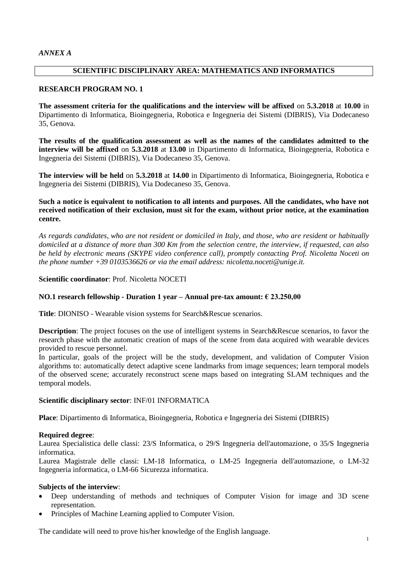## **SCIENTIFIC DISCIPLINARY AREA: MATHEMATICS AND INFORMATICS**

## **RESEARCH PROGRAM NO. 1**

**The assessment criteria for the qualifications and the interview will be affixed** on **5.3.2018** at **10.00** in Dipartimento di Informatica, Bioingegneria, Robotica e Ingegneria dei Sistemi (DIBRIS), Via Dodecaneso 35, Genova.

**The results of the qualification assessment as well as the names of the candidates admitted to the interview will be affixed** on **5.3.2018** at **13.00** in Dipartimento di Informatica, Bioingegneria, Robotica e Ingegneria dei Sistemi (DIBRIS), Via Dodecaneso 35, Genova.

**The interview will be held** on **5.3.2018** at **14.00** in Dipartimento di Informatica, Bioingegneria, Robotica e Ingegneria dei Sistemi (DIBRIS), Via Dodecaneso 35, Genova.

## **Such a notice is equivalent to notification to all intents and purposes. All the candidates, who have not received notification of their exclusion, must sit for the exam, without prior notice, at the examination centre.**

*As regards candidates, who are not resident or domiciled in Italy, and those, who are resident or habitually domiciled at a distance of more than 300 Km from the selection centre, the interview, if requested, can also be held by electronic means (SKYPE video conference call), promptly contacting Prof. Nicoletta Noceti on the phone number +39 0103536626 or via the email address: nicoletta.noceti@unige.it.*

### **Scientific coordinator**: Prof. Nicoletta NOCETI

### **NO.1 research fellowship - Duration 1 year – Annual pre-tax amount: € 23.250,00**

**Title**: DIONISO - Wearable vision systems for Search&Rescue scenarios.

**Description**: The project focuses on the use of intelligent systems in Search&Rescue scenarios, to favor the research phase with the automatic creation of maps of the scene from data acquired with wearable devices provided to rescue personnel.

In particular, goals of the project will be the study, development, and validation of Computer Vision algorithms to: automatically detect adaptive scene landmarks from image sequences; learn temporal models of the observed scene; accurately reconstruct scene maps based on integrating SLAM techniques and the temporal models.

### **Scientific disciplinary sector**: INF/01 INFORMATICA

**Place**: Dipartimento di Informatica, Bioingegneria, Robotica e Ingegneria dei Sistemi (DIBRIS)

### **Required degree**:

Laurea Specialistica delle classi: 23/S Informatica, o 29/S Ingegneria dell'automazione, o 35/S Ingegneria informatica.

Laurea Magistrale delle classi: LM-18 Informatica, o LM-25 Ingegneria dell'automazione, o LM-32 Ingegneria informatica, o LM-66 Sicurezza informatica.

### **Subjects of the interview**:

- Deep understanding of methods and techniques of Computer Vision for image and 3D scene representation.
- Principles of Machine Learning applied to Computer Vision.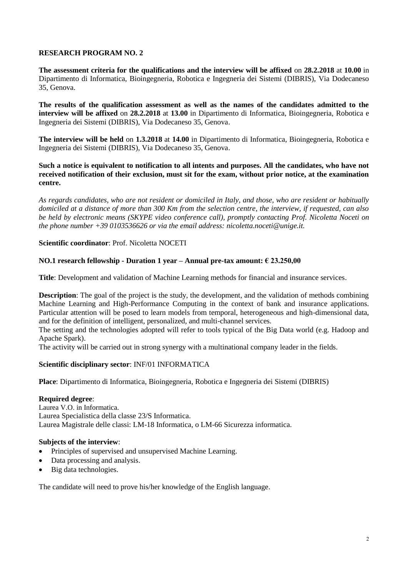**The assessment criteria for the qualifications and the interview will be affixed** on **28.2.2018** at **10.00** in Dipartimento di Informatica, Bioingegneria, Robotica e Ingegneria dei Sistemi (DIBRIS), Via Dodecaneso 35, Genova.

**The results of the qualification assessment as well as the names of the candidates admitted to the interview will be affixed** on **28.2.2018** at **13.00** in Dipartimento di Informatica, Bioingegneria, Robotica e Ingegneria dei Sistemi (DIBRIS), Via Dodecaneso 35, Genova.

**The interview will be held** on **1.3.2018** at **14.00** in Dipartimento di Informatica, Bioingegneria, Robotica e Ingegneria dei Sistemi (DIBRIS), Via Dodecaneso 35, Genova.

**Such a notice is equivalent to notification to all intents and purposes. All the candidates, who have not received notification of their exclusion, must sit for the exam, without prior notice, at the examination centre.**

*As regards candidates, who are not resident or domiciled in Italy, and those, who are resident or habitually domiciled at a distance of more than 300 Km from the selection centre, the interview, if requested, can also be held by electronic means (SKYPE video conference call), promptly contacting Prof. Nicoletta Noceti on the phone number +39 0103536626 or via the email address: nicoletta.noceti@unige.it.*

**Scientific coordinator**: Prof. Nicoletta NOCETI

### **NO.1 research fellowship - Duration 1 year – Annual pre-tax amount: € 23.250,00**

**Title**: Development and validation of Machine Learning methods for financial and insurance services.

**Description**: The goal of the project is the study, the development, and the validation of methods combining Machine Learning and High-Performance Computing in the context of bank and insurance applications. Particular attention will be posed to learn models from temporal, heterogeneous and high-dimensional data, and for the definition of intelligent, personalized, and multi-channel services.

The setting and the technologies adopted will refer to tools typical of the Big Data world (e.g. Hadoop and Apache Spark).

The activity will be carried out in strong synergy with a multinational company leader in the fields.

### **Scientific disciplinary sector**: INF/01 INFORMATICA

**Place**: Dipartimento di Informatica, Bioingegneria, Robotica e Ingegneria dei Sistemi (DIBRIS)

#### **Required degree**:

Laurea V.O. in Informatica. Laurea Specialistica della classe 23/S Informatica. Laurea Magistrale delle classi: LM-18 Informatica, o LM-66 Sicurezza informatica.

#### **Subjects of the interview**:

- Principles of supervised and unsupervised Machine Learning.
- Data processing and analysis.
- Big data technologies.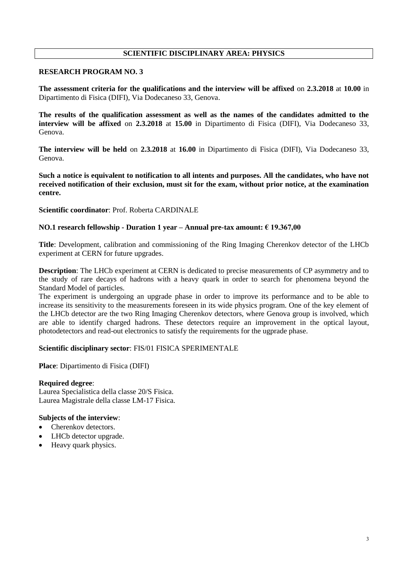## **SCIENTIFIC DISCIPLINARY AREA: PHYSICS**

## **RESEARCH PROGRAM NO. 3**

**The assessment criteria for the qualifications and the interview will be affixed** on **2.3.2018** at **10.00** in Dipartimento di Fisica (DIFI), Via Dodecaneso 33, Genova.

**The results of the qualification assessment as well as the names of the candidates admitted to the interview will be affixed** on **2.3.2018** at **15.00** in Dipartimento di Fisica (DIFI), Via Dodecaneso 33, Genova.

**The interview will be held** on **2.3.2018** at **16.00** in Dipartimento di Fisica (DIFI), Via Dodecaneso 33, Genova.

**Such a notice is equivalent to notification to all intents and purposes. All the candidates, who have not received notification of their exclusion, must sit for the exam, without prior notice, at the examination centre.**

**Scientific coordinator**: Prof. Roberta CARDINALE

### **NO.1 research fellowship - Duration 1 year – Annual pre-tax amount: € 19.367,00**

**Title**: Development, calibration and commissioning of the Ring Imaging Cherenkov detector of the LHCb experiment at CERN for future upgrades.

**Description**: The LHCb experiment at CERN is dedicated to precise measurements of CP asymmetry and to the study of rare decays of hadrons with a heavy quark in order to search for phenomena beyond the Standard Model of particles.

The experiment is undergoing an upgrade phase in order to improve its performance and to be able to increase its sensitivity to the measurements foreseen in its wide physics program. One of the key element of the LHCb detector are the two Ring Imaging Cherenkov detectors, where Genova group is involved, which are able to identify charged hadrons. These detectors require an improvement in the optical layout, photodetectors and read-out electronics to satisfy the requirements for the ugprade phase.

### **Scientific disciplinary sector**: FIS/01 FISICA SPERIMENTALE

**Place**: Dipartimento di Fisica (DIFI)

#### **Required degree**:

Laurea Specialistica della classe 20/S Fisica. Laurea Magistrale della classe LM-17 Fisica.

- Cherenkov detectors.
- LHCb detector upgrade.
- Heavy quark physics.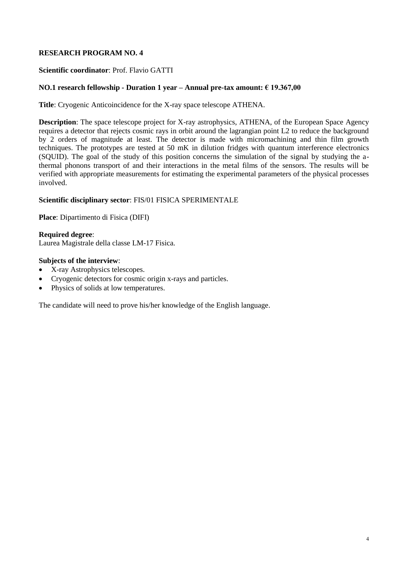## **Scientific coordinator**: Prof. Flavio GATTI

## **NO.1 research fellowship - Duration 1 year – Annual pre-tax amount: € 19.367,00**

**Title**: Cryogenic Anticoincidence for the X-ray space telescope ATHENA.

**Description**: The space telescope project for X-ray astrophysics, ATHENA, of the European Space Agency requires a detector that rejects cosmic rays in orbit around the lagrangian point L2 to reduce the background by 2 orders of magnitude at least. The detector is made with micromachining and thin film growth techniques. The prototypes are tested at 50 mK in dilution fridges with quantum interference electronics (SQUID). The goal of the study of this position concerns the simulation of the signal by studying the athermal phonons transport of and their interactions in the metal films of the sensors. The results will be verified with appropriate measurements for estimating the experimental parameters of the physical processes involved.

### **Scientific disciplinary sector**: FIS/01 FISICA SPERIMENTALE

**Place**: Dipartimento di Fisica (DIFI)

### **Required degree**:

Laurea Magistrale della classe LM-17 Fisica.

### **Subjects of the interview**:

- X-ray Astrophysics telescopes.
- Cryogenic detectors for cosmic origin x-rays and particles.
- Physics of solids at low temperatures.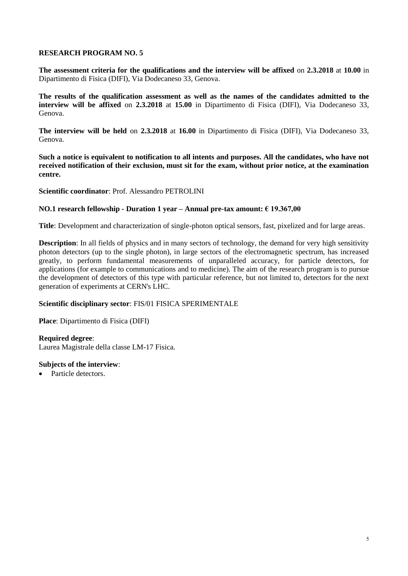**The assessment criteria for the qualifications and the interview will be affixed** on **2.3.2018** at **10.00** in Dipartimento di Fisica (DIFI), Via Dodecaneso 33, Genova.

**The results of the qualification assessment as well as the names of the candidates admitted to the interview will be affixed** on **2.3.2018** at **15.00** in Dipartimento di Fisica (DIFI), Via Dodecaneso 33, Genova.

**The interview will be held** on **2.3.2018** at **16.00** in Dipartimento di Fisica (DIFI), Via Dodecaneso 33, Genova.

**Such a notice is equivalent to notification to all intents and purposes. All the candidates, who have not received notification of their exclusion, must sit for the exam, without prior notice, at the examination centre.**

**Scientific coordinator**: Prof. Alessandro PETROLINI

### **NO.1 research fellowship - Duration 1 year – Annual pre-tax amount: € 19.367,00**

**Title**: Development and characterization of single-photon optical sensors, fast, pixelized and for large areas.

**Description**: In all fields of physics and in many sectors of technology, the demand for very high sensitivity photon detectors (up to the single photon), in large sectors of the electromagnetic spectrum, has increased greatly, to perform fundamental measurements of unparalleled accuracy, for particle detectors, for applications (for example to communications and to medicine). The aim of the research program is to pursue the development of detectors of this type with particular reference, but not limited to, detectors for the next generation of experiments at CERN's LHC.

### **Scientific disciplinary sector**: FIS/01 FISICA SPERIMENTALE

**Place**: Dipartimento di Fisica (DIFI)

### **Required degree**:

Laurea Magistrale della classe LM-17 Fisica.

### **Subjects of the interview**:

• Particle detectors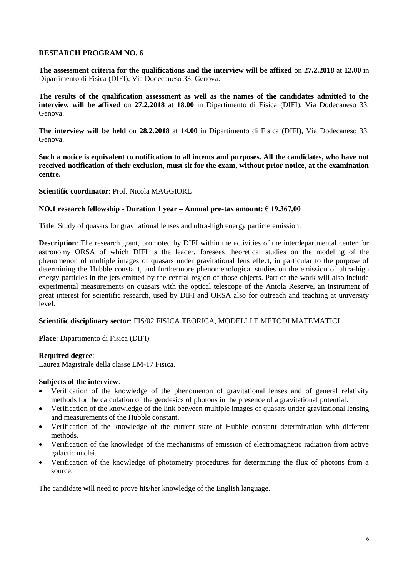**The assessment criteria for the qualifications and the interview will be affixed** on **27.2.2018** at **12.00** in Dipartimento di Fisica (DIFI), Via Dodecaneso 33, Genova.

**The results of the qualification assessment as well as the names of the candidates admitted to the interview will be affixed** on **27.2.2018** at **18.00** in Dipartimento di Fisica (DIFI), Via Dodecaneso 33, Genova.

**The interview will be held** on **28.2.2018** at **14.00** in Dipartimento di Fisica (DIFI), Via Dodecaneso 33, Genova.

**Such a notice is equivalent to notification to all intents and purposes. All the candidates, who have not received notification of their exclusion, must sit for the exam, without prior notice, at the examination centre.**

## **Scientific coordinator**: Prof. Nicola MAGGIORE

### **NO.1 research fellowship - Duration 1 year – Annual pre-tax amount: € 19.367,00**

**Title**: Study of quasars for gravitational lenses and ultra-high energy particle emission.

**Description**: The research grant, promoted by DIFI within the activities of the interdepartmental center for astronomy ORSA of which DIFI is the leader, foresees theoretical studies on the modeling of the phenomenon of multiple images of quasars under gravitational lens effect, in particular to the purpose of determining the Hubble constant, and furthermore phenomenological studies on the emission of ultra-high energy particles in the jets emitted by the central region of those objects. Part of the work will also include experimental measurements on quasars with the optical telescope of the Antola Reserve, an instrument of great interest for scientific research, used by DIFI and ORSA also for outreach and teaching at university level.

### **Scientific disciplinary sector**: FIS/02 FISICA TEORICA, MODELLI E METODI MATEMATICI

**Place**: Dipartimento di Fisica (DIFI)

### **Required degree**:

Laurea Magistrale della classe LM-17 Fisica.

### **Subjects of the interview**:

- Verification of the knowledge of the phenomenon of gravitational lenses and of general relativity methods for the calculation of the geodesics of photons in the presence of a gravitational potential.
- Verification of the knowledge of the link between multiple images of quasars under gravitational lensing and measurements of the Hubble constant.
- Verification of the knowledge of the current state of Hubble constant determination with different methods.
- Verification of the knowledge of the mechanisms of emission of electromagnetic radiation from active galactic nuclei.
- Verification of the knowledge of photometry procedures for determining the flux of photons from a source.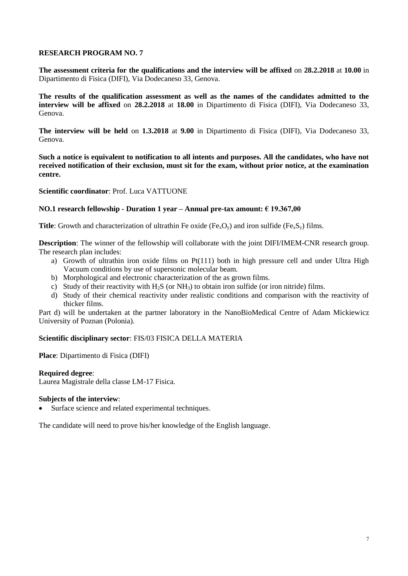**The assessment criteria for the qualifications and the interview will be affixed** on **28.2.2018** at **10.00** in Dipartimento di Fisica (DIFI), Via Dodecaneso 33, Genova.

**The results of the qualification assessment as well as the names of the candidates admitted to the interview will be affixed** on **28.2.2018** at **18.00** in Dipartimento di Fisica (DIFI), Via Dodecaneso 33, Genova.

**The interview will be held** on **1.3.2018** at **9.00** in Dipartimento di Fisica (DIFI), Via Dodecaneso 33, Genova.

**Such a notice is equivalent to notification to all intents and purposes. All the candidates, who have not received notification of their exclusion, must sit for the exam, without prior notice, at the examination centre.**

**Scientific coordinator**: Prof. Luca VATTUONE

### **NO.1 research fellowship - Duration 1 year – Annual pre-tax amount: € 19.367,00**

**Title**: Growth and characterization of ultrathin Fe oxide (Fe<sub>x</sub>O<sub>y</sub>) and iron sulfide (Fe<sub>x</sub>S<sub>y</sub>) films.

**Description**: The winner of the fellowship will collaborate with the joint DIFI/IMEM-CNR research group. The research plan includes:

- a) Growth of ultrathin iron oxide films on Pt(111) both in high pressure cell and under Ultra High Vacuum conditions by use of supersonic molecular beam.
- b) Morphological and electronic characterization of the as grown films.
- c) Study of their reactivity with  $H_2S$  (or  $NH_3$ ) to obtain iron sulfide (or iron nitride) films.
- d) Study of their chemical reactivity under realistic conditions and comparison with the reactivity of thicker films.

Part d) will be undertaken at the partner laboratory in the NanoBioMedical Centre of Adam Mickiewicz University of Poznan (Polonia).

### **Scientific disciplinary sector**: FIS/03 FISICA DELLA MATERIA

**Place**: Dipartimento di Fisica (DIFI)

#### **Required degree**:

Laurea Magistrale della classe LM-17 Fisica.

#### **Subjects of the interview**:

Surface science and related experimental techniques.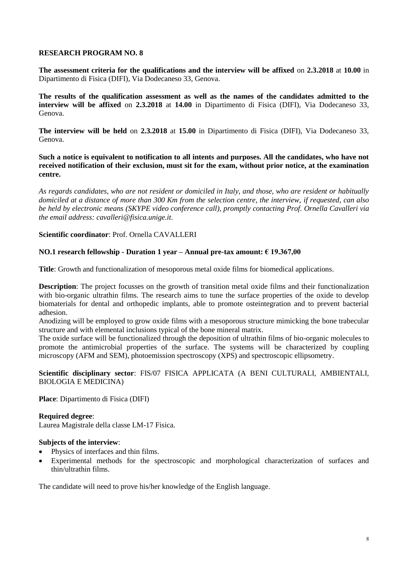**The assessment criteria for the qualifications and the interview will be affixed** on **2.3.2018** at **10.00** in Dipartimento di Fisica (DIFI), Via Dodecaneso 33, Genova.

**The results of the qualification assessment as well as the names of the candidates admitted to the interview will be affixed** on **2.3.2018** at **14.00** in Dipartimento di Fisica (DIFI), Via Dodecaneso 33, Genova.

**The interview will be held** on **2.3.2018** at **15.00** in Dipartimento di Fisica (DIFI), Via Dodecaneso 33, Genova.

**Such a notice is equivalent to notification to all intents and purposes. All the candidates, who have not received notification of their exclusion, must sit for the exam, without prior notice, at the examination centre.**

*As regards candidates, who are not resident or domiciled in Italy, and those, who are resident or habitually domiciled at a distance of more than 300 Km from the selection centre, the interview, if requested, can also be held by electronic means (SKYPE video conference call), promptly contacting Prof. Ornella Cavalleri via the email address: cavalleri@fisica.unige.it.*

**Scientific coordinator**: Prof. Ornella CAVALLERI

### **NO.1 research fellowship - Duration 1 year – Annual pre-tax amount: € 19.367,00**

**Title**: Growth and functionalization of mesoporous metal oxide films for biomedical applications.

**Description**: The project focusses on the growth of transition metal oxide films and their functionalization with bio-organic ultrathin films. The research aims to tune the surface properties of the oxide to develop biomaterials for dental and orthopedic implants, able to promote osteintegration and to prevent bacterial adhesion.

Anodizing will be employed to grow oxide films with a mesoporous structure mimicking the bone trabecular structure and with elemental inclusions typical of the bone mineral matrix.

The oxide surface will be functionalized through the deposition of ultrathin films of bio-organic molecules to promote the antimicrobial properties of the surface. The systems will be characterized by coupling microscopy (AFM and SEM), photoemission spectroscopy (XPS) and spectroscopic ellipsometry.

**Scientific disciplinary sector**: FIS/07 FISICA APPLICATA (A BENI CULTURALI, AMBIENTALI, BIOLOGIA E MEDICINA)

**Place**: Dipartimento di Fisica (DIFI)

### **Required degree**:

Laurea Magistrale della classe LM-17 Fisica.

#### **Subjects of the interview**:

- Physics of interfaces and thin films.
- Experimental methods for the spectroscopic and morphological characterization of surfaces and thin/ultrathin films.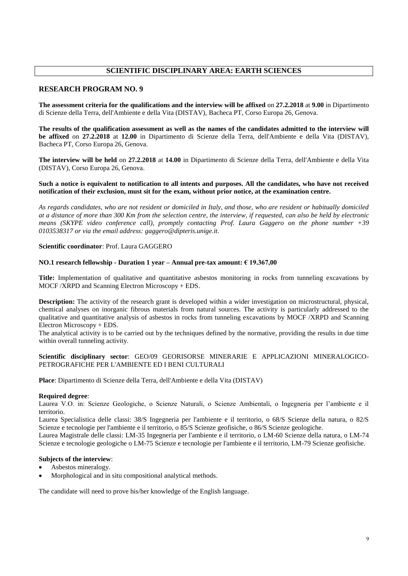## **SCIENTIFIC DISCIPLINARY AREA: EARTH SCIENCES**

#### **RESEARCH PROGRAM NO. 9**

**The assessment criteria for the qualifications and the interview will be affixed** on **27.2.2018** at **9.00** in Dipartimento di Scienze della Terra, dell'Ambiente e della Vita (DISTAV), Bacheca PT, Corso Europa 26, Genova.

**The results of the qualification assessment as well as the names of the candidates admitted to the interview will be affixed** on **27.2.2018** at **12.00** in Dipartimento di Scienze della Terra, dell'Ambiente e della Vita (DISTAV), Bacheca PT, Corso Europa 26, Genova.

**The interview will be held** on **27.2.2018** at **14.00** in Dipartimento di Scienze della Terra, dell'Ambiente e della Vita (DISTAV), Corso Europa 26, Genova.

#### **Such a notice is equivalent to notification to all intents and purposes. All the candidates, who have not received notification of their exclusion, must sit for the exam, without prior notice, at the examination centre.**

*As regards candidates, who are not resident or domiciled in Italy, and those, who are resident or habitually domiciled at a distance of more than 300 Km from the selection centre, the interview, if requested, can also be held by electronic means (SKYPE video conference call), promptly contacting Prof. Laura Gaggero on the phone number +39 0103538317 or via the email address: gaggero@dipteris.unige.it.*

### **Scientific coordinator**: Prof. Laura GAGGERO

#### **NO.1 research fellowship - Duration 1 year – Annual pre-tax amount: € 19.367,00**

**Title:** Implementation of qualitative and quantitative asbestos monitoring in rocks from tunneling excavations by MOCF /XRPD and Scanning Electron Microscopy + EDS.

**Description:** The activity of the research grant is developed within a wider investigation on microstructural, physical, chemical analyses on inorganic fibrous materials from natural sources. The activity is particularly addressed to the qualitative and quantitative analysis of asbestos in rocks from tunneling excavations by MOCF /XRPD and Scanning Electron Microscopy + EDS.

The analytical activity is to be carried out by the techniques defined by the normative, providing the results in due time within overall tunneling activity.

#### **Scientific disciplinary sector**: GEO/09 GEORISORSE MINERARIE E APPLICAZIONI MINERALOGICO-PETROGRAFICHE PER L'AMBIENTE ED I BENI CULTURALI

**Place**: Dipartimento di Scienze della Terra, dell'Ambiente e della Vita (DISTAV)

#### **Required degree**:

Laurea V.O. in: Scienze Geologiche, o Scienze Naturali, o Scienze Ambientali, o Ingegneria per l'ambiente e il territorio.

Laurea Specialistica delle classi: 38/S Ingegneria per l'ambiente e il territorio, o 68/S Scienze della natura, o 82/S Scienze e tecnologie per l'ambiente e il territorio, o 85/S Scienze geofisiche, o 86/S Scienze geologiche.

Laurea Magistrale delle classi: LM-35 Ingegneria per l'ambiente e il territorio, o LM-60 Scienze della natura, o LM-74 Scienze e tecnologie geologiche o LM-75 Scienze e tecnologie per l'ambiente e il territorio, LM-79 Scienze geofisiche.

## **Subjects of the interview**:

- Asbestos mineralogy.
- Morphological and in situ compositional analytical methods.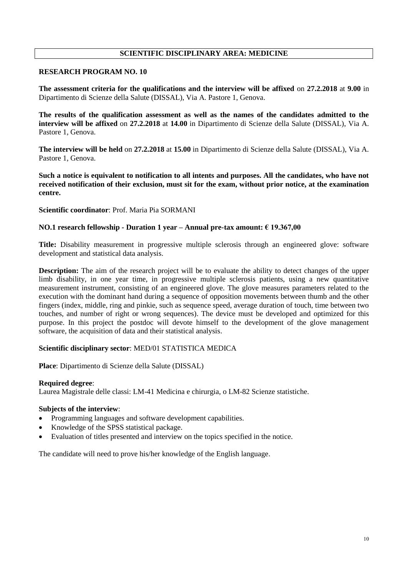## **SCIENTIFIC DISCIPLINARY AREA: MEDICINE**

### **RESEARCH PROGRAM NO. 10**

**The assessment criteria for the qualifications and the interview will be affixed** on **27.2.2018** at **9.00** in Dipartimento di Scienze della Salute (DISSAL), Via A. Pastore 1, Genova.

**The results of the qualification assessment as well as the names of the candidates admitted to the interview will be affixed** on **27.2.2018** at **14.00** in Dipartimento di Scienze della Salute (DISSAL), Via A. Pastore 1, Genova.

**The interview will be held** on **27.2.2018** at **15.00** in Dipartimento di Scienze della Salute (DISSAL), Via A. Pastore 1, Genova.

**Such a notice is equivalent to notification to all intents and purposes. All the candidates, who have not received notification of their exclusion, must sit for the exam, without prior notice, at the examination centre.**

**Scientific coordinator**: Prof. Maria Pia SORMANI

### **NO.1 research fellowship - Duration 1 year – Annual pre-tax amount: € 19.367,00**

**Title:** Disability measurement in progressive multiple sclerosis through an engineered glove: software development and statistical data analysis.

**Description:** The aim of the research project will be to evaluate the ability to detect changes of the upper limb disability, in one year time, in progressive multiple sclerosis patients, using a new quantitative measurement instrument, consisting of an engineered glove. The glove measures parameters related to the execution with the dominant hand during a sequence of opposition movements between thumb and the other fingers (index, middle, ring and pinkie, such as sequence speed, average duration of touch, time between two touches, and number of right or wrong sequences). The device must be developed and optimized for this purpose. In this project the postdoc will devote himself to the development of the glove management software, the acquisition of data and their statistical analysis.

## **Scientific disciplinary sector**: MED/01 STATISTICA MEDICA

**Place**: Dipartimento di Scienze della Salute (DISSAL)

#### **Required degree**:

Laurea Magistrale delle classi: LM-41 Medicina e chirurgia, o LM-82 Scienze statistiche.

#### **Subjects of the interview**:

- Programming languages and software development capabilities.
- Knowledge of the SPSS statistical package.
- Evaluation of titles presented and interview on the topics specified in the notice.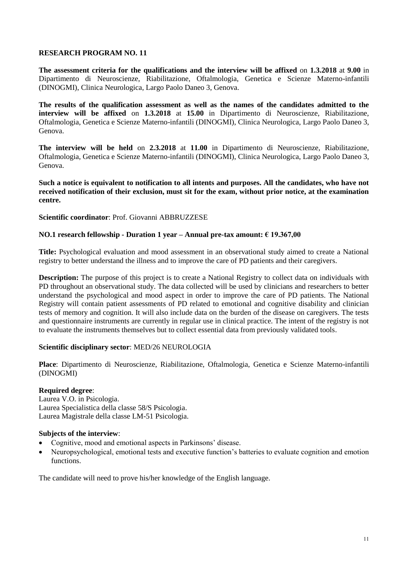**The assessment criteria for the qualifications and the interview will be affixed** on **1.3.2018** at **9.00** in Dipartimento di Neuroscienze, Riabilitazione, Oftalmologia, Genetica e Scienze Materno-infantili (DINOGMI), Clinica Neurologica, Largo Paolo Daneo 3, Genova.

**The results of the qualification assessment as well as the names of the candidates admitted to the interview will be affixed** on **1.3.2018** at **15.00** in Dipartimento di Neuroscienze, Riabilitazione, Oftalmologia, Genetica e Scienze Materno-infantili (DINOGMI), Clinica Neurologica, Largo Paolo Daneo 3, Genova.

**The interview will be held** on **2.3.2018** at **11.00** in Dipartimento di Neuroscienze, Riabilitazione, Oftalmologia, Genetica e Scienze Materno-infantili (DINOGMI), Clinica Neurologica, Largo Paolo Daneo 3, Genova.

**Such a notice is equivalent to notification to all intents and purposes. All the candidates, who have not received notification of their exclusion, must sit for the exam, without prior notice, at the examination centre.**

**Scientific coordinator**: Prof. Giovanni ABBRUZZESE

## **NO.1 research fellowship - Duration 1 year – Annual pre-tax amount: € 19.367,00**

**Title:** Psychological evaluation and mood assessment in an observational study aimed to create a National registry to better understand the illness and to improve the care of PD patients and their caregivers.

**Description:** The purpose of this project is to create a National Registry to collect data on individuals with PD throughout an observational study. The data collected will be used by clinicians and researchers to better understand the psychological and mood aspect in order to improve the care of PD patients. The National Registry will contain patient assessments of PD related to emotional and cognitive disability and clinician tests of memory and cognition. It will also include data on the burden of the disease on caregivers. The tests and questionnaire instruments are currently in regular use in clinical practice. The intent of the registry is not to evaluate the instruments themselves but to collect essential data from previously validated tools.

### **Scientific disciplinary sector**: MED/26 NEUROLOGIA

**Place**: Dipartimento di Neuroscienze, Riabilitazione, Oftalmologia, Genetica e Scienze Materno-infantili (DINOGMI)

### **Required degree**:

Laurea V.O. in Psicologia. Laurea Specialistica della classe 58/S Psicologia. Laurea Magistrale della classe LM-51 Psicologia.

### **Subjects of the interview**:

- Cognitive, mood and emotional aspects in Parkinsons' disease.
- Neuropsychological, emotional tests and executive function's batteries to evaluate cognition and emotion functions.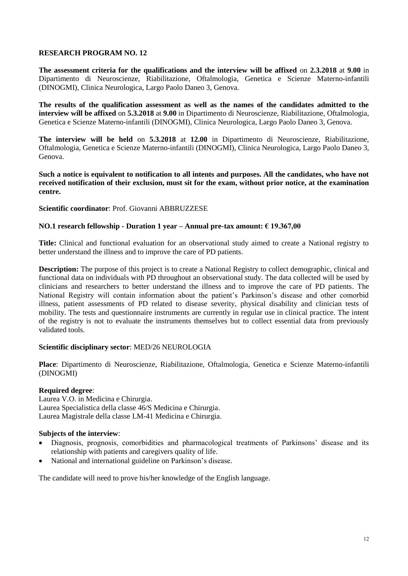**The assessment criteria for the qualifications and the interview will be affixed** on **2.3.2018** at **9.00** in Dipartimento di Neuroscienze, Riabilitazione, Oftalmologia, Genetica e Scienze Materno-infantili (DINOGMI), Clinica Neurologica, Largo Paolo Daneo 3, Genova.

**The results of the qualification assessment as well as the names of the candidates admitted to the interview will be affixed** on **5.3.2018** at **9.00** in Dipartimento di Neuroscienze, Riabilitazione, Oftalmologia, Genetica e Scienze Materno-infantili (DINOGMI), Clinica Neurologica, Largo Paolo Daneo 3, Genova.

**The interview will be held** on **5.3.2018** at **12.00** in Dipartimento di Neuroscienze, Riabilitazione, Oftalmologia, Genetica e Scienze Materno-infantili (DINOGMI), Clinica Neurologica, Largo Paolo Daneo 3, Genova.

**Such a notice is equivalent to notification to all intents and purposes. All the candidates, who have not received notification of their exclusion, must sit for the exam, without prior notice, at the examination centre.**

### **Scientific coordinator**: Prof. Giovanni ABBRUZZESE

### **NO.1 research fellowship - Duration 1 year – Annual pre-tax amount: € 19.367,00**

**Title:** Clinical and functional evaluation for an observational study aimed to create a National registry to better understand the illness and to improve the care of PD patients.

**Description:** The purpose of this project is to create a National Registry to collect demographic, clinical and functional data on individuals with PD throughout an observational study. The data collected will be used by clinicians and researchers to better understand the illness and to improve the care of PD patients. The National Registry will contain information about the patient's Parkinson's disease and other comorbid illness, patient assessments of PD related to disease severity, physical disability and clinician tests of mobility. The tests and questionnaire instruments are currently in regular use in clinical practice. The intent of the registry is not to evaluate the instruments themselves but to collect essential data from previously validated tools.

### **Scientific disciplinary sector**: MED/26 NEUROLOGIA

**Place**: Dipartimento di Neuroscienze, Riabilitazione, Oftalmologia, Genetica e Scienze Materno-infantili (DINOGMI)

### **Required degree**:

Laurea V.O. in Medicina e Chirurgia. Laurea Specialistica della classe 46/S Medicina e Chirurgia. Laurea Magistrale della classe LM-41 Medicina e Chirurgia.

### **Subjects of the interview**:

- Diagnosis, prognosis, comorbidities and pharmacological treatments of Parkinsons' disease and its relationship with patients and caregivers quality of life.
- National and international guideline on Parkinson's disease.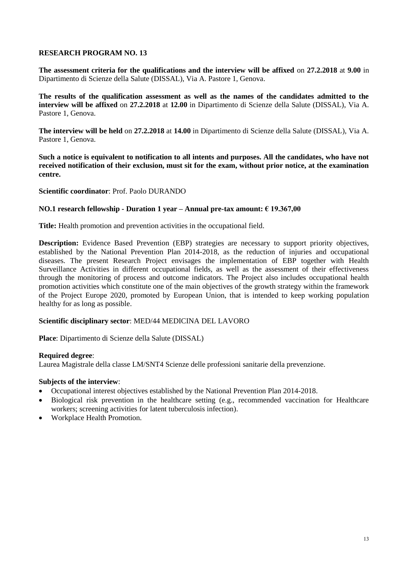**The assessment criteria for the qualifications and the interview will be affixed** on **27.2.2018** at **9.00** in Dipartimento di Scienze della Salute (DISSAL), Via A. Pastore 1, Genova.

**The results of the qualification assessment as well as the names of the candidates admitted to the interview will be affixed** on **27.2.2018** at **12.00** in Dipartimento di Scienze della Salute (DISSAL), Via A. Pastore 1, Genova.

**The interview will be held** on **27.2.2018** at **14.00** in Dipartimento di Scienze della Salute (DISSAL), Via A. Pastore 1, Genova.

**Such a notice is equivalent to notification to all intents and purposes. All the candidates, who have not received notification of their exclusion, must sit for the exam, without prior notice, at the examination centre.**

## **Scientific coordinator**: Prof. Paolo DURANDO

### **NO.1 research fellowship - Duration 1 year – Annual pre-tax amount: € 19.367,00**

**Title:** Health promotion and prevention activities in the occupational field.

**Description:** Evidence Based Prevention (EBP) strategies are necessary to support priority objectives, established by the National Prevention Plan 2014-2018, as the reduction of injuries and occupational diseases. The present Research Project envisages the implementation of EBP together with Health Surveillance Activities in different occupational fields, as well as the assessment of their effectiveness through the monitoring of process and outcome indicators. The Project also includes occupational health promotion activities which constitute one of the main objectives of the growth strategy within the framework of the Project Europe 2020, promoted by European Union, that is intended to keep working population healthy for as long as possible.

### **Scientific disciplinary sector**: MED/44 MEDICINA DEL LAVORO

**Place**: Dipartimento di Scienze della Salute (DISSAL)

### **Required degree**:

Laurea Magistrale della classe LM/SNT4 Scienze delle professioni sanitarie della prevenzione.

- Occupational interest objectives established by the National Prevention Plan 2014-2018.
- Biological risk prevention in the healthcare setting (e.g., recommended vaccination for Healthcare workers; screening activities for latent tuberculosis infection).
- Workplace Health Promotion.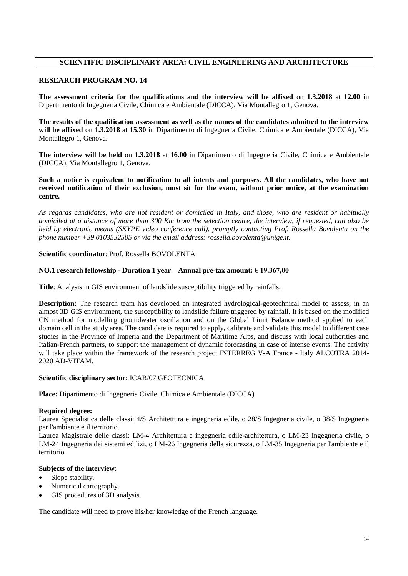# **SCIENTIFIC DISCIPLINARY AREA: CIVIL ENGINEERING AND ARCHITECTURE**

### **RESEARCH PROGRAM NO. 14**

**The assessment criteria for the qualifications and the interview will be affixed** on **1.3.2018** at **12.00** in Dipartimento di Ingegneria Civile, Chimica e Ambientale (DICCA), Via Montallegro 1, Genova.

**The results of the qualification assessment as well as the names of the candidates admitted to the interview will be affixed** on **1.3.2018** at **15.30** in Dipartimento di Ingegneria Civile, Chimica e Ambientale (DICCA), Via Montallegro 1, Genova.

**The interview will be held** on **1.3.2018** at **16.00** in Dipartimento di Ingegneria Civile, Chimica e Ambientale (DICCA), Via Montallegro 1, Genova.

**Such a notice is equivalent to notification to all intents and purposes. All the candidates, who have not received notification of their exclusion, must sit for the exam, without prior notice, at the examination centre.**

*As regards candidates, who are not resident or domiciled in Italy, and those, who are resident or habitually domiciled at a distance of more than 300 Km from the selection centre, the interview, if requested, can also be held by electronic means (SKYPE video conference call), promptly contacting Prof. Rossella Bovolenta on the phone number +39 0103532505 or via the email address: rossella.bovolenta@unige.it.*

**Scientific coordinator**: Prof. Rossella BOVOLENTA

### **NO.1 research fellowship - Duration 1 year – Annual pre-tax amount: € 19.367,00**

**Title**: Analysis in GIS environment of landslide susceptibility triggered by rainfalls.

**Description:** The research team has developed an integrated hydrological-geotechnical model to assess, in an almost 3D GIS environment, the susceptibility to landslide failure triggered by rainfall. It is based on the modified CN method for modelling groundwater oscillation and on the Global Limit Balance method applied to each domain cell in the study area. The candidate is required to apply, calibrate and validate this model to different case studies in the Province of Imperia and the Department of Maritime Alps, and discuss with local authorities and Italian-French partners, to support the management of dynamic forecasting in case of intense events. The activity will take place within the framework of the research project INTERREG V-A France - Italy ALCOTRA 2014- 2020 AD-VITAM.

#### **Scientific disciplinary sector:** ICAR/07 GEOTECNICA

**Place:** Dipartimento di Ingegneria Civile, Chimica e Ambientale (DICCA)

#### **Required degree:**

Laurea Specialistica delle classi: 4/S Architettura e ingegneria edile, o 28/S Ingegneria civile, o 38/S Ingegneria per l'ambiente e il territorio.

Laurea Magistrale delle classi: LM-4 Architettura e ingegneria edile-architettura, o LM-23 Ingegneria civile, o LM-24 Ingegneria dei sistemi edilizi, o LM-26 Ingegneria della sicurezza, o LM-35 Ingegneria per l'ambiente e il territorio.

#### **Subjects of the interview**:

- Slope stability.
- Numerical cartography.
- GIS procedures of 3D analysis.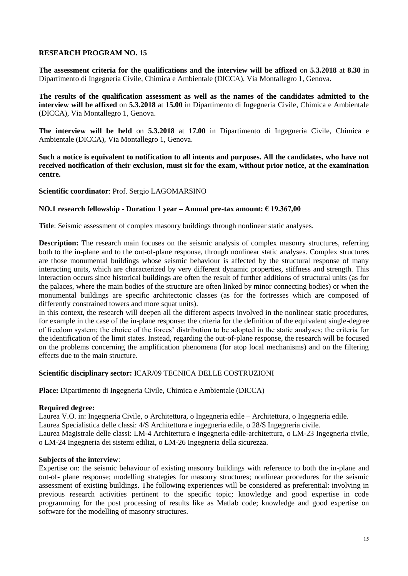**The assessment criteria for the qualifications and the interview will be affixed** on **5.3.2018** at **8.30** in Dipartimento di Ingegneria Civile, Chimica e Ambientale (DICCA), Via Montallegro 1, Genova.

**The results of the qualification assessment as well as the names of the candidates admitted to the interview will be affixed** on **5.3.2018** at **15.00** in Dipartimento di Ingegneria Civile, Chimica e Ambientale (DICCA), Via Montallegro 1, Genova.

**The interview will be held** on **5.3.2018** at **17.00** in Dipartimento di Ingegneria Civile, Chimica e Ambientale (DICCA), Via Montallegro 1, Genova.

**Such a notice is equivalent to notification to all intents and purposes. All the candidates, who have not received notification of their exclusion, must sit for the exam, without prior notice, at the examination centre.**

**Scientific coordinator**: Prof. Sergio LAGOMARSINO

### **NO.1 research fellowship - Duration 1 year – Annual pre-tax amount: € 19.367,00**

**Title**: Seismic assessment of complex masonry buildings through nonlinear static analyses.

**Description:** The research main focuses on the seismic analysis of complex masonry structures, referring both to the in-plane and to the out-of-plane response, through nonlinear static analyses. Complex structures are those monumental buildings whose seismic behaviour is affected by the structural response of many interacting units, which are characterized by very different dynamic properties, stiffness and strength. This interaction occurs since historical buildings are often the result of further additions of structural units (as for the palaces, where the main bodies of the structure are often linked by minor connecting bodies) or when the monumental buildings are specific architectonic classes (as for the fortresses which are composed of differently constrained towers and more squat units).

In this context, the research will deepen all the different aspects involved in the nonlinear static procedures, for example in the case of the in-plane response: the criteria for the definition of the equivalent single-degree of freedom system; the choice of the forces' distribution to be adopted in the static analyses; the criteria for the identification of the limit states. Instead, regarding the out-of-plane response, the research will be focused on the problems concerning the amplification phenomena (for atop local mechanisms) and on the filtering effects due to the main structure.

### **Scientific disciplinary sector:** ICAR/09 TECNICA DELLE COSTRUZIONI

**Place:** Dipartimento di Ingegneria Civile, Chimica e Ambientale (DICCA)

### **Required degree:**

Laurea V.O. in: Ingegneria Civile, o Architettura, o Ingegneria edile – Architettura, o Ingegneria edile. Laurea Specialistica delle classi: 4/S Architettura e ingegneria edile, o 28/S Ingegneria civile. Laurea Magistrale delle classi: LM-4 Architettura e ingegneria edile-architettura, o LM-23 Ingegneria civile, o LM-24 Ingegneria dei sistemi edilizi, o LM-26 Ingegneria della sicurezza.

#### **Subjects of the interview**:

Expertise on: the seismic behaviour of existing masonry buildings with reference to both the in-plane and out-of- plane response; modelling strategies for masonry structures; nonlinear procedures for the seismic assessment of existing buildings. The following experiences will be considered as preferential: involving in previous research activities pertinent to the specific topic; knowledge and good expertise in code programming for the post processing of results like as Matlab code; knowledge and good expertise on software for the modelling of masonry structures.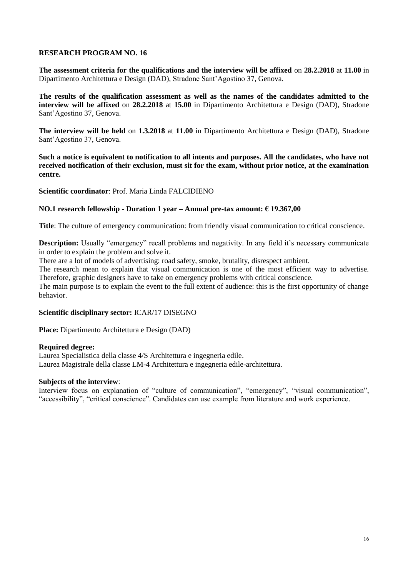**The assessment criteria for the qualifications and the interview will be affixed** on **28.2.2018** at **11.00** in Dipartimento Architettura e Design (DAD), Stradone Sant'Agostino 37, Genova.

**The results of the qualification assessment as well as the names of the candidates admitted to the interview will be affixed** on **28.2.2018** at **15.00** in Dipartimento Architettura e Design (DAD), Stradone Sant'Agostino 37, Genova.

**The interview will be held** on **1.3.2018** at **11.00** in Dipartimento Architettura e Design (DAD), Stradone Sant'Agostino 37, Genova.

**Such a notice is equivalent to notification to all intents and purposes. All the candidates, who have not received notification of their exclusion, must sit for the exam, without prior notice, at the examination centre.**

**Scientific coordinator**: Prof. Maria Linda FALCIDIENO

### **NO.1 research fellowship - Duration 1 year – Annual pre-tax amount: € 19.367,00**

**Title**: The culture of emergency communication: from friendly visual communication to critical conscience.

**Description:** Usually "emergency" recall problems and negativity. In any field it's necessary communicate in order to explain the problem and solve it.

There are a lot of models of advertising: road safety, smoke, brutality, disrespect ambient.

The research mean to explain that visual communication is one of the most efficient way to advertise. Therefore, graphic designers have to take on emergency problems with critical conscience.

The main purpose is to explain the event to the full extent of audience: this is the first opportunity of change behavior.

### **Scientific disciplinary sector:** ICAR/17 DISEGNO

**Place:** Dipartimento Architettura e Design (DAD)

### **Required degree:**

Laurea Specialistica della classe 4/S Architettura e ingegneria edile. Laurea Magistrale della classe LM-4 Architettura e ingegneria edile-architettura.

### **Subjects of the interview**:

Interview focus on explanation of "culture of communication", "emergency", "visual communication", "accessibility", "critical conscience". Candidates can use example from literature and work experience.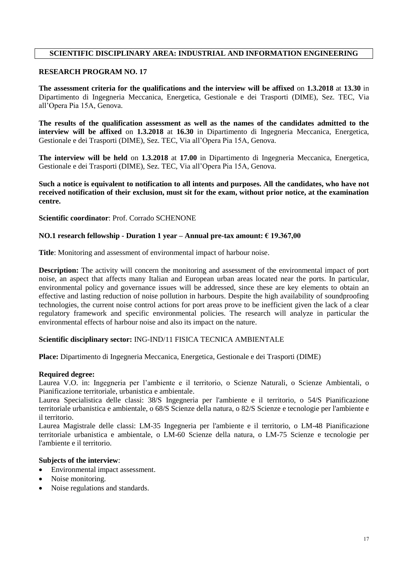## **SCIENTIFIC DISCIPLINARY AREA: INDUSTRIAL AND INFORMATION ENGINEERING**

## **RESEARCH PROGRAM NO. 17**

**The assessment criteria for the qualifications and the interview will be affixed** on **1.3.2018** at **13.30** in Dipartimento di Ingegneria Meccanica, Energetica, Gestionale e dei Trasporti (DIME), Sez. TEC, Via all'Opera Pia 15A, Genova.

**The results of the qualification assessment as well as the names of the candidates admitted to the interview will be affixed** on **1.3.2018** at **16.30** in Dipartimento di Ingegneria Meccanica, Energetica, Gestionale e dei Trasporti (DIME), Sez. TEC, Via all'Opera Pia 15A, Genova.

**The interview will be held** on **1.3.2018** at **17.00** in Dipartimento di Ingegneria Meccanica, Energetica, Gestionale e dei Trasporti (DIME), Sez. TEC, Via all'Opera Pia 15A, Genova.

**Such a notice is equivalent to notification to all intents and purposes. All the candidates, who have not received notification of their exclusion, must sit for the exam, without prior notice, at the examination centre.**

### **Scientific coordinator**: Prof. Corrado SCHENONE

### **NO.1 research fellowship - Duration 1 year – Annual pre-tax amount: € 19.367,00**

**Title**: Monitoring and assessment of environmental impact of harbour noise.

**Description:** The activity will concern the monitoring and assessment of the environmental impact of port noise, an aspect that affects many Italian and European urban areas located near the ports. In particular, environmental policy and governance issues will be addressed, since these are key elements to obtain an effective and lasting reduction of noise pollution in harbours. Despite the high availability of soundproofing technologies, the current noise control actions for port areas prove to be inefficient given the lack of a clear regulatory framework and specific environmental policies. The research will analyze in particular the environmental effects of harbour noise and also its impact on the nature.

### **Scientific disciplinary sector:** ING-IND/11 FISICA TECNICA AMBIENTALE

**Place:** Dipartimento di Ingegneria Meccanica, Energetica, Gestionale e dei Trasporti (DIME)

#### **Required degree:**

Laurea V.O. in: Ingegneria per l'ambiente e il territorio, o Scienze Naturali, o Scienze Ambientali, o Pianificazione territoriale, urbanistica e ambientale.

Laurea Specialistica delle classi: 38/S Ingegneria per l'ambiente e il territorio, o 54/S Pianificazione territoriale urbanistica e ambientale, o 68/S Scienze della natura, o 82/S Scienze e tecnologie per l'ambiente e il territorio.

Laurea Magistrale delle classi: LM-35 Ingegneria per l'ambiente e il territorio, o LM-48 Pianificazione territoriale urbanistica e ambientale, o LM-60 Scienze della natura, o LM-75 Scienze e tecnologie per l'ambiente e il territorio.

- Environmental impact assessment.
- Noise monitoring.
- Noise regulations and standards.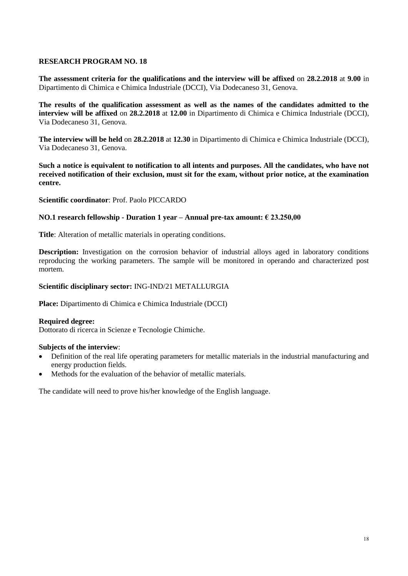**The assessment criteria for the qualifications and the interview will be affixed** on **28.2.2018** at **9.00** in Dipartimento di Chimica e Chimica Industriale (DCCI), Via Dodecaneso 31, Genova.

**The results of the qualification assessment as well as the names of the candidates admitted to the interview will be affixed** on **28.2.2018** at **12.00** in Dipartimento di Chimica e Chimica Industriale (DCCI), Via Dodecaneso 31, Genova.

**The interview will be held** on **28.2.2018** at **12.30** in Dipartimento di Chimica e Chimica Industriale (DCCI), Via Dodecaneso 31, Genova.

**Such a notice is equivalent to notification to all intents and purposes. All the candidates, who have not received notification of their exclusion, must sit for the exam, without prior notice, at the examination centre.**

**Scientific coordinator**: Prof. Paolo PICCARDO

### **NO.1 research fellowship - Duration 1 year – Annual pre-tax amount: € 23.250,00**

**Title**: Alteration of metallic materials in operating conditions.

**Description:** Investigation on the corrosion behavior of industrial alloys aged in laboratory conditions reproducing the working parameters. The sample will be monitored in operando and characterized post mortem.

### **Scientific disciplinary sector:** ING-IND/21 METALLURGIA

**Place:** Dipartimento di Chimica e Chimica Industriale (DCCI)

#### **Required degree:**

Dottorato di ricerca in Scienze e Tecnologie Chimiche.

#### **Subjects of the interview**:

- Definition of the real life operating parameters for metallic materials in the industrial manufacturing and energy production fields.
- Methods for the evaluation of the behavior of metallic materials.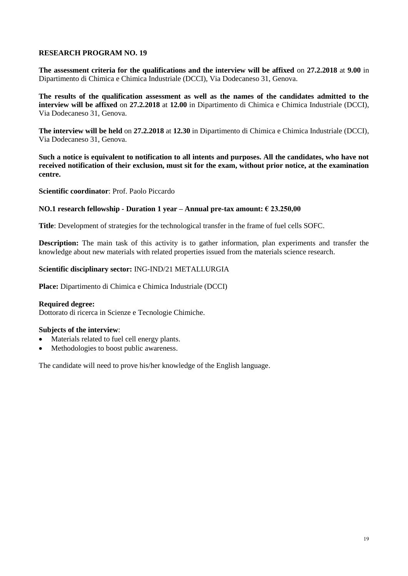**The assessment criteria for the qualifications and the interview will be affixed** on **27.2.2018** at **9.00** in Dipartimento di Chimica e Chimica Industriale (DCCI), Via Dodecaneso 31, Genova.

**The results of the qualification assessment as well as the names of the candidates admitted to the interview will be affixed** on **27.2.2018** at **12.00** in Dipartimento di Chimica e Chimica Industriale (DCCI), Via Dodecaneso 31, Genova.

**The interview will be held** on **27.2.2018** at **12.30** in Dipartimento di Chimica e Chimica Industriale (DCCI), Via Dodecaneso 31, Genova.

**Such a notice is equivalent to notification to all intents and purposes. All the candidates, who have not received notification of their exclusion, must sit for the exam, without prior notice, at the examination centre.**

**Scientific coordinator**: Prof. Paolo Piccardo

### **NO.1 research fellowship - Duration 1 year – Annual pre-tax amount: € 23.250,00**

**Title**: Development of strategies for the technological transfer in the frame of fuel cells SOFC.

**Description:** The main task of this activity is to gather information, plan experiments and transfer the knowledge about new materials with related properties issued from the materials science research.

### **Scientific disciplinary sector:** ING-IND/21 METALLURGIA

**Place:** Dipartimento di Chimica e Chimica Industriale (DCCI)

### **Required degree:**

Dottorato di ricerca in Scienze e Tecnologie Chimiche.

### **Subjects of the interview**:

- Materials related to fuel cell energy plants.
- Methodologies to boost public awareness.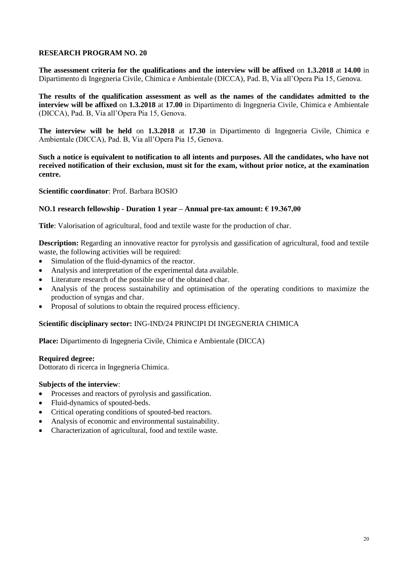**The assessment criteria for the qualifications and the interview will be affixed** on **1.3.2018** at **14.00** in Dipartimento di Ingegneria Civile, Chimica e Ambientale (DICCA), Pad. B, Via all'Opera Pia 15, Genova.

**The results of the qualification assessment as well as the names of the candidates admitted to the interview will be affixed** on **1.3.2018** at **17.00** in Dipartimento di Ingegneria Civile, Chimica e Ambientale (DICCA), Pad. B, Via all'Opera Pia 15, Genova.

**The interview will be held** on **1.3.2018** at **17.30** in Dipartimento di Ingegneria Civile, Chimica e Ambientale (DICCA), Pad. B, Via all'Opera Pia 15, Genova.

**Such a notice is equivalent to notification to all intents and purposes. All the candidates, who have not received notification of their exclusion, must sit for the exam, without prior notice, at the examination centre.**

**Scientific coordinator**: Prof. Barbara BOSIO

### **NO.1 research fellowship - Duration 1 year – Annual pre-tax amount: € 19.367,00**

**Title**: Valorisation of agricultural, food and textile waste for the production of char.

**Description:** Regarding an innovative reactor for pyrolysis and gassification of agricultural, food and textile waste, the following activities will be required:

- Simulation of the fluid-dynamics of the reactor.
- Analysis and interpretation of the experimental data available.
- Literature research of the possible use of the obtained char.
- Analysis of the process sustainability and optimisation of the operating conditions to maximize the production of syngas and char.
- Proposal of solutions to obtain the required process efficiency.

### **Scientific disciplinary sector:** ING-IND/24 PRINCIPI DI INGEGNERIA CHIMICA

**Place:** Dipartimento di Ingegneria Civile, Chimica e Ambientale (DICCA)

#### **Required degree:**

Dottorato di ricerca in Ingegneria Chimica.

- Processes and reactors of pyrolysis and gassification.
- Fluid-dynamics of spouted-beds.
- Critical operating conditions of spouted-bed reactors.
- Analysis of economic and environmental sustainability.
- Characterization of agricultural, food and textile waste.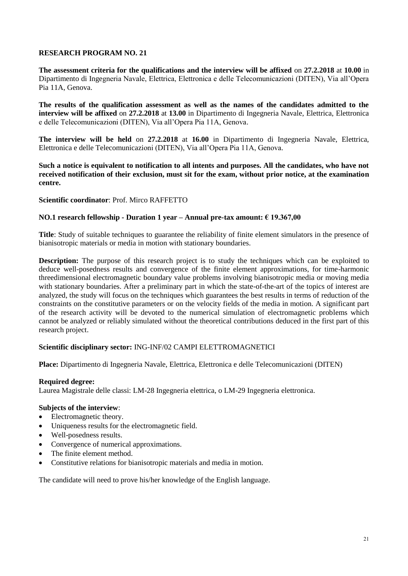**The assessment criteria for the qualifications and the interview will be affixed** on **27.2.2018** at **10.00** in Dipartimento di Ingegneria Navale, Elettrica, Elettronica e delle Telecomunicazioni (DITEN), Via all'Opera Pia 11A, Genova.

**The results of the qualification assessment as well as the names of the candidates admitted to the interview will be affixed** on **27.2.2018** at **13.00** in Dipartimento di Ingegneria Navale, Elettrica, Elettronica e delle Telecomunicazioni (DITEN), Via all'Opera Pia 11A, Genova.

**The interview will be held** on **27.2.2018** at **16.00** in Dipartimento di Ingegneria Navale, Elettrica, Elettronica e delle Telecomunicazioni (DITEN), Via all'Opera Pia 11A, Genova.

**Such a notice is equivalent to notification to all intents and purposes. All the candidates, who have not received notification of their exclusion, must sit for the exam, without prior notice, at the examination centre.**

### **Scientific coordinator**: Prof. Mirco RAFFETTO

### **NO.1 research fellowship - Duration 1 year – Annual pre-tax amount: € 19.367,00**

**Title**: Study of suitable techniques to guarantee the reliability of finite element simulators in the presence of bianisotropic materials or media in motion with stationary boundaries.

**Description:** The purpose of this research project is to study the techniques which can be exploited to deduce well-posedness results and convergence of the finite element approximations, for time-harmonic threedimensional electromagnetic boundary value problems involving bianisotropic media or moving media with stationary boundaries. After a preliminary part in which the state-of-the-art of the topics of interest are analyzed, the study will focus on the techniques which guarantees the best results in terms of reduction of the constraints on the constitutive parameters or on the velocity fields of the media in motion. A significant part of the research activity will be devoted to the numerical simulation of electromagnetic problems which cannot be analyzed or reliably simulated without the theoretical contributions deduced in the first part of this research project.

### **Scientific disciplinary sector:** ING-INF/02 CAMPI ELETTROMAGNETICI

**Place:** Dipartimento di Ingegneria Navale, Elettrica, Elettronica e delle Telecomunicazioni (DITEN)

### **Required degree:**

Laurea Magistrale delle classi: LM-28 Ingegneria elettrica, o LM-29 Ingegneria elettronica.

## **Subjects of the interview**:

- Electromagnetic theory.
- Uniqueness results for the electromagnetic field.
- Well-posedness results.
- Convergence of numerical approximations.
- The finite element method.
- Constitutive relations for bianisotropic materials and media in motion.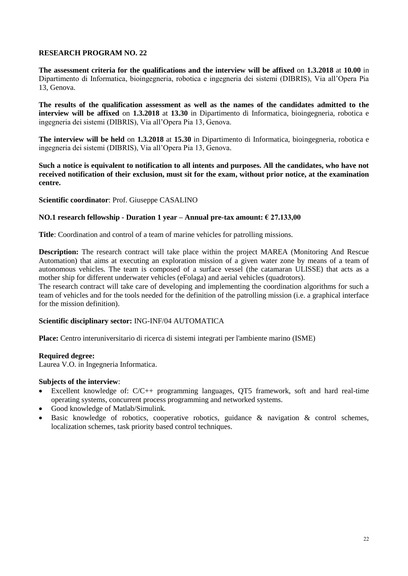**The assessment criteria for the qualifications and the interview will be affixed** on **1.3.2018** at **10.00** in Dipartimento di Informatica, bioingegneria, robotica e ingegneria dei sistemi (DIBRIS), Via all'Opera Pia 13, Genova.

**The results of the qualification assessment as well as the names of the candidates admitted to the interview will be affixed** on **1.3.2018** at **13.30** in Dipartimento di Informatica, bioingegneria, robotica e ingegneria dei sistemi (DIBRIS), Via all'Opera Pia 13, Genova.

**The interview will be held** on **1.3.2018** at **15.30** in Dipartimento di Informatica, bioingegneria, robotica e ingegneria dei sistemi (DIBRIS), Via all'Opera Pia 13, Genova.

**Such a notice is equivalent to notification to all intents and purposes. All the candidates, who have not received notification of their exclusion, must sit for the exam, without prior notice, at the examination centre.**

**Scientific coordinator**: Prof. Giuseppe CASALINO

### **NO.1 research fellowship - Duration 1 year – Annual pre-tax amount: € 27.133,00**

**Title**: Coordination and control of a team of marine vehicles for patrolling missions.

**Description:** The research contract will take place within the project MAREA (Monitoring And Rescue Automation) that aims at executing an exploration mission of a given water zone by means of a team of autonomous vehicles. The team is composed of a surface vessel (the catamaran ULISSE) that acts as a mother ship for different underwater vehicles (eFolaga) and aerial vehicles (quadrotors).

The research contract will take care of developing and implementing the coordination algorithms for such a team of vehicles and for the tools needed for the definition of the patrolling mission (i.e. a graphical interface for the mission definition).

### **Scientific disciplinary sector:** ING-INF/04 AUTOMATICA

**Place:** Centro interuniversitario di ricerca di sistemi integrati per l'ambiente marino (ISME)

#### **Required degree:**

Laurea V.O. in Ingegneria Informatica.

- Excellent knowledge of: C/C++ programming languages, QT5 framework, soft and hard real-time operating systems, concurrent process programming and networked systems.
- Good knowledge of Matlab/Simulink.
- Basic knowledge of robotics, cooperative robotics, guidance & navigation & control schemes, localization schemes, task priority based control techniques.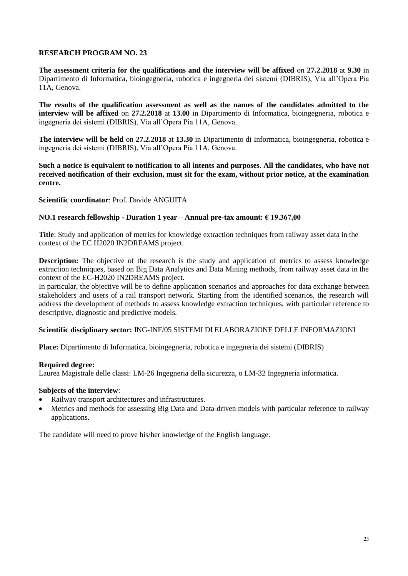**The assessment criteria for the qualifications and the interview will be affixed** on **27.2.2018** at **9.30** in Dipartimento di Informatica, bioingegneria, robotica e ingegneria dei sistemi (DIBRIS), Via all'Opera Pia 11A, Genova.

**The results of the qualification assessment as well as the names of the candidates admitted to the interview will be affixed** on **27.2.2018** at **13.00** in Dipartimento di Informatica, bioingegneria, robotica e ingegneria dei sistemi (DIBRIS), Via all'Opera Pia 11A, Genova.

**The interview will be held** on **27.2.2018** at **13.30** in Dipartimento di Informatica, bioingegneria, robotica e ingegneria dei sistemi (DIBRIS), Via all'Opera Pia 11A, Genova.

**Such a notice is equivalent to notification to all intents and purposes. All the candidates, who have not received notification of their exclusion, must sit for the exam, without prior notice, at the examination centre.**

### **Scientific coordinator**: Prof. Davide ANGUITA

### **NO.1 research fellowship - Duration 1 year – Annual pre-tax amount: € 19.367,00**

**Title**: Study and application of metrics for knowledge extraction techniques from railway asset data in the context of the EC H2020 IN2DREAMS project.

**Description:** The objective of the research is the study and application of metrics to assess knowledge extraction techniques, based on Big Data Analytics and Data Mining methods, from railway asset data in the context of the EC-H2020 IN2DREAMS project.

In particular, the objective will be to define application scenarios and approaches for data exchange between stakeholders and users of a rail transport network. Starting from the identified scenarios, the research will address the development of methods to assess knowledge extraction techniques, with particular reference to descriptive, diagnostic and predictive models.

#### **Scientific disciplinary sector:** ING-INF/05 SISTEMI DI ELABORAZIONE DELLE INFORMAZIONI

**Place:** Dipartimento di Informatica, bioingegneria, robotica e ingegneria dei sistemi (DIBRIS)

### **Required degree:**

Laurea Magistrale delle classi: LM-26 Ingegneria della sicurezza, o LM-32 Ingegneria informatica.

#### **Subjects of the interview**:

- Railway transport architectures and infrastructures.
- Metrics and methods for assessing Big Data and Data-driven models with particular reference to railway applications.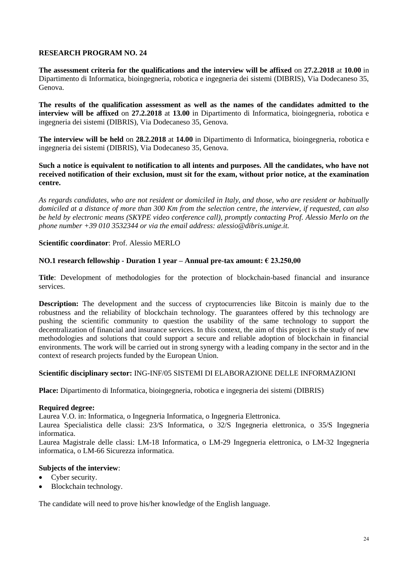**The assessment criteria for the qualifications and the interview will be affixed** on **27.2.2018** at **10.00** in Dipartimento di Informatica, bioingegneria, robotica e ingegneria dei sistemi (DIBRIS), Via Dodecaneso 35, Genova.

**The results of the qualification assessment as well as the names of the candidates admitted to the interview will be affixed** on **27.2.2018** at **13.00** in Dipartimento di Informatica, bioingegneria, robotica e ingegneria dei sistemi (DIBRIS), Via Dodecaneso 35, Genova.

**The interview will be held** on **28.2.2018** at **14.00** in Dipartimento di Informatica, bioingegneria, robotica e ingegneria dei sistemi (DIBRIS), Via Dodecaneso 35, Genova.

### **Such a notice is equivalent to notification to all intents and purposes. All the candidates, who have not received notification of their exclusion, must sit for the exam, without prior notice, at the examination centre.**

*As regards candidates, who are not resident or domiciled in Italy, and those, who are resident or habitually domiciled at a distance of more than 300 Km from the selection centre, the interview, if requested, can also be held by electronic means (SKYPE video conference call), promptly contacting Prof. Alessio Merlo on the phone number +39 010 3532344 or via the email address: alessio@dibris.unige.it.*

### **Scientific coordinator**: Prof. Alessio MERLO

## **NO.1 research fellowship - Duration 1 year – Annual pre-tax amount: € 23.250,00**

**Title**: Development of methodologies for the protection of blockchain-based financial and insurance services.

**Description:** The development and the success of cryptocurrencies like Bitcoin is mainly due to the robustness and the reliability of blockchain technology. The guarantees offered by this technology are pushing the scientific community to question the usability of the same technology to support the decentralization of financial and insurance services. In this context, the aim of this project is the study of new methodologies and solutions that could support a secure and reliable adoption of blockchain in financial environments. The work will be carried out in strong synergy with a leading company in the sector and in the context of research projects funded by the European Union.

### **Scientific disciplinary sector:** ING-INF/05 SISTEMI DI ELABORAZIONE DELLE INFORMAZIONI

**Place:** Dipartimento di Informatica, bioingegneria, robotica e ingegneria dei sistemi (DIBRIS)

### **Required degree:**

Laurea V.O. in: Informatica, o Ingegneria Informatica, o Ingegneria Elettronica.

Laurea Specialistica delle classi: 23/S Informatica, o 32/S Ingegneria elettronica, o 35/S Ingegneria informatica.

Laurea Magistrale delle classi: LM-18 Informatica, o LM-29 Ingegneria elettronica, o LM-32 Ingegneria informatica, o LM-66 Sicurezza informatica.

### **Subjects of the interview**:

- Cyber security.
- Blockchain technology.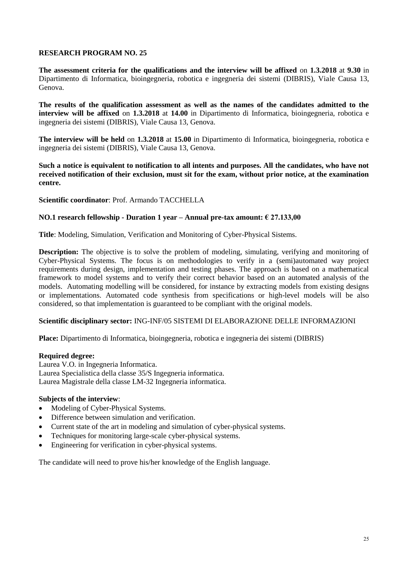**The assessment criteria for the qualifications and the interview will be affixed** on **1.3.2018** at **9.30** in Dipartimento di Informatica, bioingegneria, robotica e ingegneria dei sistemi (DIBRIS), Viale Causa 13, Genova.

**The results of the qualification assessment as well as the names of the candidates admitted to the interview will be affixed** on **1.3.2018** at **14.00** in Dipartimento di Informatica, bioingegneria, robotica e ingegneria dei sistemi (DIBRIS), Viale Causa 13, Genova.

**The interview will be held** on **1.3.2018** at **15.00** in Dipartimento di Informatica, bioingegneria, robotica e ingegneria dei sistemi (DIBRIS), Viale Causa 13, Genova.

**Such a notice is equivalent to notification to all intents and purposes. All the candidates, who have not received notification of their exclusion, must sit for the exam, without prior notice, at the examination centre.**

**Scientific coordinator**: Prof. Armando TACCHELLA

### **NO.1 research fellowship - Duration 1 year – Annual pre-tax amount: € 27.133,00**

**Title**: Modeling, Simulation, Verification and Monitoring of Cyber-Physical Sistems.

**Description:** The objective is to solve the problem of modeling, simulating, verifying and monitoring of Cyber-Physical Systems. The focus is on methodologies to verify in a (semi)automated way project requirements during design, implementation and testing phases. The approach is based on a mathematical framework to model systems and to verify their correct behavior based on an automated analysis of the models. Automating modelling will be considered, for instance by extracting models from existing designs or implementations. Automated code synthesis from specifications or high-level models will be also considered, so that implementation is guaranteed to be compliant with the original models.

### **Scientific disciplinary sector:** ING-INF/05 SISTEMI DI ELABORAZIONE DELLE INFORMAZIONI

**Place:** Dipartimento di Informatica, bioingegneria, robotica e ingegneria dei sistemi (DIBRIS)

#### **Required degree:**

Laurea V.O. in Ingegneria Informatica. Laurea Specialistica della classe 35/S Ingegneria informatica. Laurea Magistrale della classe LM-32 Ingegneria informatica.

### **Subjects of the interview**:

- Modeling of Cyber-Physical Systems.
- Difference between simulation and verification.
- Current state of the art in modeling and simulation of cyber-physical systems.
- Techniques for monitoring large-scale cyber-physical systems.
- Engineering for verification in cyber-physical systems.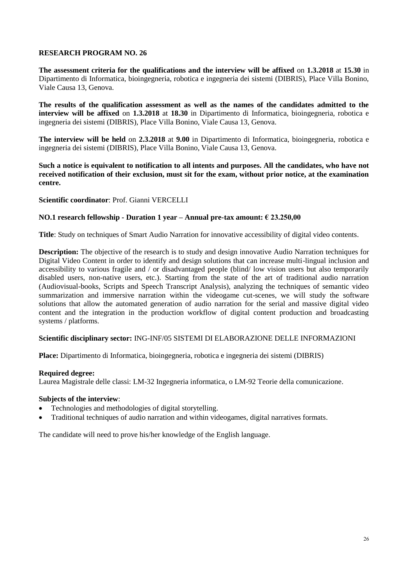**The assessment criteria for the qualifications and the interview will be affixed** on **1.3.2018** at **15.30** in Dipartimento di Informatica, bioingegneria, robotica e ingegneria dei sistemi (DIBRIS), Place Villa Bonino, Viale Causa 13, Genova.

**The results of the qualification assessment as well as the names of the candidates admitted to the interview will be affixed** on **1.3.2018** at **18.30** in Dipartimento di Informatica, bioingegneria, robotica e ingegneria dei sistemi (DIBRIS), Place Villa Bonino, Viale Causa 13, Genova.

**The interview will be held** on **2.3.2018** at **9.00** in Dipartimento di Informatica, bioingegneria, robotica e ingegneria dei sistemi (DIBRIS), Place Villa Bonino, Viale Causa 13, Genova.

**Such a notice is equivalent to notification to all intents and purposes. All the candidates, who have not received notification of their exclusion, must sit for the exam, without prior notice, at the examination centre.**

### **Scientific coordinator**: Prof. Gianni VERCELLI

### **NO.1 research fellowship - Duration 1 year – Annual pre-tax amount: € 23.250,00**

**Title**: Study on techniques of Smart Audio Narration for innovative accessibility of digital video contents.

**Description:** The objective of the research is to study and design innovative Audio Narration techniques for Digital Video Content in order to identify and design solutions that can increase multi-lingual inclusion and accessibility to various fragile and / or disadvantaged people (blind/ low vision users but also temporarily disabled users, non-native users, etc.). Starting from the state of the art of traditional audio narration (Audiovisual-books, Scripts and Speech Transcript Analysis), analyzing the techniques of semantic video summarization and immersive narration within the videogame cut-scenes, we will study the software solutions that allow the automated generation of audio narration for the serial and massive digital video content and the integration in the production workflow of digital content production and broadcasting systems / platforms.

### **Scientific disciplinary sector:** ING-INF/05 SISTEMI DI ELABORAZIONE DELLE INFORMAZIONI

**Place:** Dipartimento di Informatica, bioingegneria, robotica e ingegneria dei sistemi (DIBRIS)

#### **Required degree:**

Laurea Magistrale delle classi: LM-32 Ingegneria informatica, o LM-92 Teorie della comunicazione.

#### **Subjects of the interview**:

- Technologies and methodologies of digital storytelling.
- Traditional techniques of audio narration and within videogames, digital narratives formats.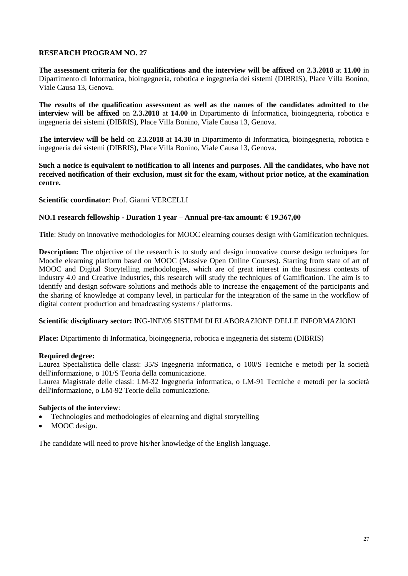**The assessment criteria for the qualifications and the interview will be affixed** on **2.3.2018** at **11.00** in Dipartimento di Informatica, bioingegneria, robotica e ingegneria dei sistemi (DIBRIS), Place Villa Bonino, Viale Causa 13, Genova.

**The results of the qualification assessment as well as the names of the candidates admitted to the interview will be affixed** on **2.3.2018** at **14.00** in Dipartimento di Informatica, bioingegneria, robotica e ingegneria dei sistemi (DIBRIS), Place Villa Bonino, Viale Causa 13, Genova.

**The interview will be held** on **2.3.2018** at **14.30** in Dipartimento di Informatica, bioingegneria, robotica e ingegneria dei sistemi (DIBRIS), Place Villa Bonino, Viale Causa 13, Genova.

**Such a notice is equivalent to notification to all intents and purposes. All the candidates, who have not received notification of their exclusion, must sit for the exam, without prior notice, at the examination centre.**

**Scientific coordinator**: Prof. Gianni VERCELLI

### **NO.1 research fellowship - Duration 1 year – Annual pre-tax amount: € 19.367,00**

**Title**: Study on innovative methodologies for MOOC elearning courses design with Gamification techniques.

**Description:** The objective of the research is to study and design innovative course design techniques for Moodle elearning platform based on MOOC (Massive Open Online Courses). Starting from state of art of MOOC and Digital Storytelling methodologies, which are of great interest in the business contexts of Industry 4.0 and Creative Industries, this research will study the techniques of Gamification. The aim is to identify and design software solutions and methods able to increase the engagement of the participants and the sharing of knowledge at company level, in particular for the integration of the same in the workflow of digital content production and broadcasting systems / platforms.

### **Scientific disciplinary sector:** ING-INF/05 SISTEMI DI ELABORAZIONE DELLE INFORMAZIONI

**Place:** Dipartimento di Informatica, bioingegneria, robotica e ingegneria dei sistemi (DIBRIS)

### **Required degree:**

Laurea Specialistica delle classi: 35/S Ingegneria informatica, o 100/S Tecniche e metodi per la società dell'informazione, o 101/S Teoria della comunicazione.

Laurea Magistrale delle classi: LM-32 Ingegneria informatica, o LM-91 Tecniche e metodi per la società dell'informazione, o LM-92 Teorie della comunicazione.

## **Subjects of the interview**:

- Technologies and methodologies of elearning and digital storytelling
- MOOC design.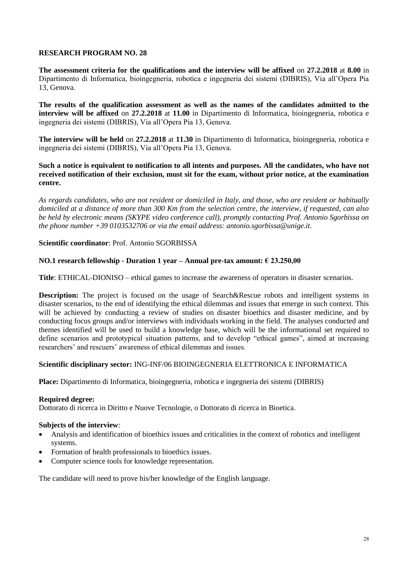**The assessment criteria for the qualifications and the interview will be affixed** on **27.2.2018** at **8.00** in Dipartimento di Informatica, bioingegneria, robotica e ingegneria dei sistemi (DIBRIS), Via all'Opera Pia 13, Genova.

**The results of the qualification assessment as well as the names of the candidates admitted to the interview will be affixed** on **27.2.2018** at **11.00** in Dipartimento di Informatica, bioingegneria, robotica e ingegneria dei sistemi (DIBRIS), Via all'Opera Pia 13, Genova.

**The interview will be held** on **27.2.2018** at **11.30** in Dipartimento di Informatica, bioingegneria, robotica e ingegneria dei sistemi (DIBRIS), Via all'Opera Pia 13, Genova.

### **Such a notice is equivalent to notification to all intents and purposes. All the candidates, who have not received notification of their exclusion, must sit for the exam, without prior notice, at the examination centre.**

*As regards candidates, who are not resident or domiciled in Italy, and those, who are resident or habitually domiciled at a distance of more than 300 Km from the selection centre, the interview, if requested, can also be held by electronic means (SKYPE video conference call), promptly contacting Prof. Antonio Sgorbissa on the phone number +39 0103532706 or via the email address: antonio.sgorbissa@unige.it.* 

### **Scientific coordinator**: Prof. Antonio SGORBISSA

## **NO.1 research fellowship - Duration 1 year – Annual pre-tax amount: € 23.250,00**

**Title**: ETHICAL-DIONISO – ethical games to increase the awareness of operators in disaster scenarios.

**Description:** The project is focused on the usage of Search&Rescue robots and intelligent systems in disaster scenarios, to the end of identifying the ethical dilemmas and issues that emerge in such context. This will be achieved by conducting a review of studies on disaster bioethics and disaster medicine, and by conducting focus groups and/or interviews with individuals working in the field. The analyses conducted and themes identified will be used to build a knowledge base, which will be the informational set required to define scenarios and prototypical situation patterns, and to develop "ethical games", aimed at increasing researchers' and rescuers' awareness of ethical dilemmas and issues.

### **Scientific disciplinary sector:** ING-INF/06 BIOINGEGNERIA ELETTRONICA E INFORMATICA

**Place:** Dipartimento di Informatica, bioingegneria, robotica e ingegneria dei sistemi (DIBRIS)

### **Required degree:**

Dottorato di ricerca in Diritto e Nuove Tecnologie, o Dottorato di ricerca in Bioetica.

### **Subjects of the interview**:

- Analysis and identification of bioethics issues and criticalities in the context of robotics and intelligent systems.
- Formation of health professionals to bioethics issues.
- Computer science tools for knowledge representation.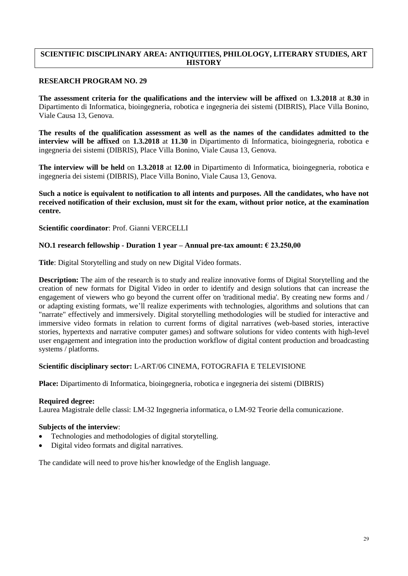## **SCIENTIFIC DISCIPLINARY AREA: ANTIQUITIES, PHILOLOGY, LITERARY STUDIES, ART HISTORY**

### **RESEARCH PROGRAM NO. 29**

**The assessment criteria for the qualifications and the interview will be affixed** on **1.3.2018** at **8.30** in Dipartimento di Informatica, bioingegneria, robotica e ingegneria dei sistemi (DIBRIS), Place Villa Bonino, Viale Causa 13, Genova.

**The results of the qualification assessment as well as the names of the candidates admitted to the interview will be affixed** on **1.3.2018** at **11.30** in Dipartimento di Informatica, bioingegneria, robotica e ingegneria dei sistemi (DIBRIS), Place Villa Bonino, Viale Causa 13, Genova.

**The interview will be held** on **1.3.2018** at **12.00** in Dipartimento di Informatica, bioingegneria, robotica e ingegneria dei sistemi (DIBRIS), Place Villa Bonino, Viale Causa 13, Genova.

**Such a notice is equivalent to notification to all intents and purposes. All the candidates, who have not received notification of their exclusion, must sit for the exam, without prior notice, at the examination centre.**

**Scientific coordinator**: Prof. Gianni VERCELLI

## **NO.1 research fellowship - Duration 1 year – Annual pre-tax amount: € 23.250,00**

**Title**: Digital Storytelling and study on new Digital Video formats.

**Description:** The aim of the research is to study and realize innovative forms of Digital Storytelling and the creation of new formats for Digital Video in order to identify and design solutions that can increase the engagement of viewers who go beyond the current offer on 'traditional media'. By creating new forms and / or adapting existing formats, we'll realize experiments with technologies, algorithms and solutions that can "narrate" effectively and immersively. Digital storytelling methodologies will be studied for interactive and immersive video formats in relation to current forms of digital narratives (web-based stories, interactive stories, hypertexts and narrative computer games) and software solutions for video contents with high-level user engagement and integration into the production workflow of digital content production and broadcasting systems / platforms.

## **Scientific disciplinary sector:** L-ART/06 CINEMA, FOTOGRAFIA E TELEVISIONE

**Place:** Dipartimento di Informatica, bioingegneria, robotica e ingegneria dei sistemi (DIBRIS)

### **Required degree:**

Laurea Magistrale delle classi: LM-32 Ingegneria informatica, o LM-92 Teorie della comunicazione.

### **Subjects of the interview**:

- Technologies and methodologies of digital storytelling.
- Digital video formats and digital narratives.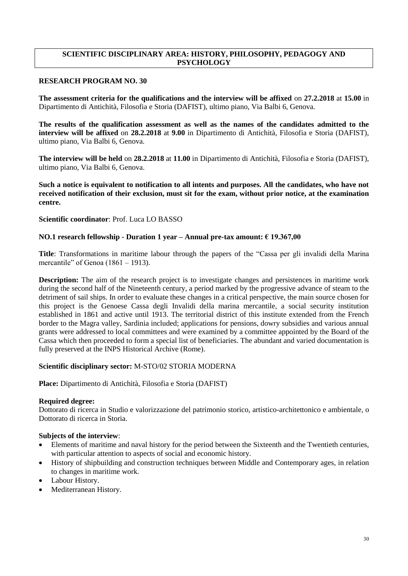# **SCIENTIFIC DISCIPLINARY AREA: HISTORY, PHILOSOPHY, PEDAGOGY AND PSYCHOLOGY**

### **RESEARCH PROGRAM NO. 30**

**The assessment criteria for the qualifications and the interview will be affixed** on **27.2.2018** at **15.00** in Dipartimento di Antichità, Filosofia e Storia (DAFIST), ultimo piano, Via Balbi 6, Genova.

**The results of the qualification assessment as well as the names of the candidates admitted to the interview will be affixed** on **28.2.2018** at **9.00** in Dipartimento di Antichità, Filosofia e Storia (DAFIST), ultimo piano, Via Balbi 6, Genova.

**The interview will be held** on **28.2.2018** at **11.00** in Dipartimento di Antichità, Filosofia e Storia (DAFIST), ultimo piano, Via Balbi 6, Genova.

**Such a notice is equivalent to notification to all intents and purposes. All the candidates, who have not received notification of their exclusion, must sit for the exam, without prior notice, at the examination centre.**

**Scientific coordinator**: Prof. Luca LO BASSO

### **NO.1 research fellowship - Duration 1 year – Annual pre-tax amount: € 19.367,00**

**Title**: Transformations in maritime labour through the papers of the "Cassa per gli invalidi della Marina mercantile" of Genoa (1861 – 1913).

**Description:** The aim of the research project is to investigate changes and persistences in maritime work during the second half of the Nineteenth century, a period marked by the progressive advance of steam to the detriment of sail ships. In order to evaluate these changes in a critical perspective, the main source chosen for this project is the Genoese Cassa degli Invalidi della marina mercantile, a social security institution established in 1861 and active until 1913. The territorial district of this institute extended from the French border to the Magra valley, Sardinia included; applications for pensions, dowry subsidies and various annual grants were addressed to local committees and were examined by a committee appointed by the Board of the Cassa which then proceeded to form a special list of beneficiaries. The abundant and varied documentation is fully preserved at the INPS Historical Archive (Rome).

### **Scientific disciplinary sector:** M-STO/02 STORIA MODERNA

**Place:** Dipartimento di Antichità, Filosofia e Storia (DAFIST)

#### **Required degree:**

Dottorato di ricerca in Studio e valorizzazione del patrimonio storico, artistico-architettonico e ambientale, o Dottorato di ricerca in Storia.

- Elements of maritime and naval history for the period between the Sixteenth and the Twentieth centuries, with particular attention to aspects of social and economic history.
- History of shipbuilding and construction techniques between Middle and Contemporary ages, in relation to changes in maritime work.
- Labour History.
- Mediterranean History.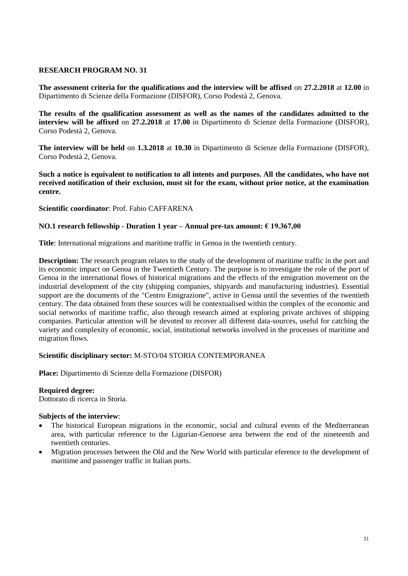**The assessment criteria for the qualifications and the interview will be affixed** on **27.2.2018** at **12.00** in Dipartimento di Scienze della Formazione (DISFOR), Corso Podestà 2, Genova.

**The results of the qualification assessment as well as the names of the candidates admitted to the interview will be affixed** on **27.2.2018** at **17.00** in Dipartimento di Scienze della Formazione (DISFOR), Corso Podestà 2, Genova.

**The interview will be held** on **1.3.2018** at **10.30** in Dipartimento di Scienze della Formazione (DISFOR), Corso Podestà 2, Genova.

**Such a notice is equivalent to notification to all intents and purposes. All the candidates, who have not received notification of their exclusion, must sit for the exam, without prior notice, at the examination centre.**

### **Scientific coordinator**: Prof. Fabio CAFFARENA

## **NO.1 research fellowship - Duration 1 year – Annual pre-tax amount: € 19.367,00**

**Title**: International migrations and maritime traffic in Genoa in the twentieth century.

**Description:** The research program relates to the study of the development of maritime traffic in the port and its economic impact on Genoa in the Twentieth Century. The purpose is to investigate the role of the port of Genoa in the international flows of historical migrations and the effects of the emigration movement on the industrial development of the city (shipping companies, shipyards and manufacturing industries). Essential support are the documents of the "Centro Emigrazione", active in Genoa until the seventies of the twentieth century. The data obtained from these sources will be contextualised within the complex of the economic and social networks of maritime traffic, also through research aimed at exploring private archives of shipping companies. Particular attention will be devoted to recover all different data-sources, useful for catching the variety and complexity of economic, social, institutional networks involved in the processes of maritime and migration flows.

### **Scientific disciplinary sector:** M-STO/04 STORIA CONTEMPORANEA

**Place:** Dipartimento di Scienze della Formazione (DISFOR)

### **Required degree:**

Dottorato di ricerca in Storia.

- The historical European migrations in the economic, social and cultural events of the Mediterranean area, with particular reference to the Ligurian-Genoese area between the end of the nineteenth and twentieth centuries.
- Migration processes between the Old and the New World with particular eference to the development of maritime and passenger traffic in Italian ports.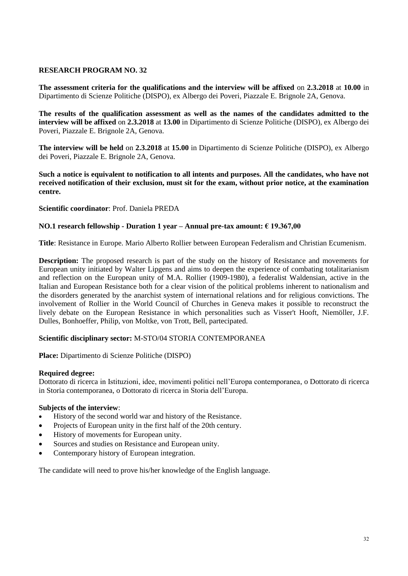**The assessment criteria for the qualifications and the interview will be affixed** on **2.3.2018** at **10.00** in Dipartimento di Scienze Politiche (DISPO), ex Albergo dei Poveri, Piazzale E. Brignole 2A, Genova.

**The results of the qualification assessment as well as the names of the candidates admitted to the interview will be affixed** on **2.3.2018** at **13.00** in Dipartimento di Scienze Politiche (DISPO), ex Albergo dei Poveri, Piazzale E. Brignole 2A, Genova.

**The interview will be held** on **2.3.2018** at **15.00** in Dipartimento di Scienze Politiche (DISPO), ex Albergo dei Poveri, Piazzale E. Brignole 2A, Genova.

**Such a notice is equivalent to notification to all intents and purposes. All the candidates, who have not received notification of their exclusion, must sit for the exam, without prior notice, at the examination centre.**

**Scientific coordinator**: Prof. Daniela PREDA

## **NO.1 research fellowship - Duration 1 year – Annual pre-tax amount: € 19.367,00**

**Title**: Resistance in Europe. Mario Alberto Rollier between European Federalism and Christian Ecumenism.

**Description:** The proposed research is part of the study on the history of Resistance and movements for European unity initiated by Walter Lipgens and aims to deepen the experience of combating totalitarianism and reflection on the European unity of M.A. Rollier (1909-1980), a federalist Waldensian, active in the Italian and European Resistance both for a clear vision of the political problems inherent to nationalism and the disorders generated by the anarchist system of international relations and for religious convictions. The involvement of Rollier in the World Council of Churches in Geneva makes it possible to reconstruct the lively debate on the European Resistance in which personalities such as Visser't Hooft, Niemöller, J.F. Dulles, Bonhoeffer, Philip, von Moltke, von Trott, Bell, partecipated.

### **Scientific disciplinary sector:** M-STO/04 STORIA CONTEMPORANEA

**Place:** Dipartimento di Scienze Politiche (DISPO)

### **Required degree:**

Dottorato di ricerca in Istituzioni, idee, movimenti politici nell'Europa contemporanea, o Dottorato di ricerca in Storia contemporanea, o Dottorato di ricerca in Storia dell'Europa.

## **Subjects of the interview**:

- History of the second world war and history of the Resistance.
- Projects of European unity in the first half of the 20th century.
- History of movements for European unity.
- Sources and studies on Resistance and European unity.
- Contemporary history of European integration.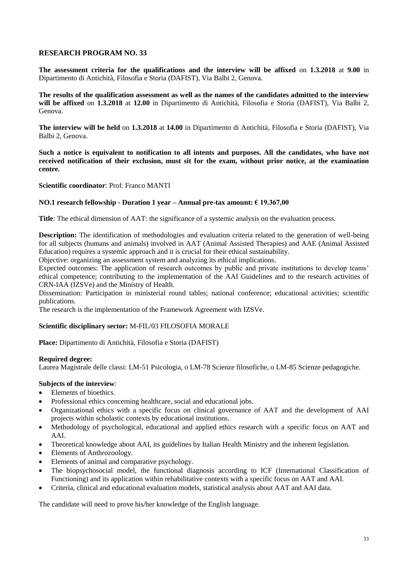**The assessment criteria for the qualifications and the interview will be affixed** on **1.3.2018** at **9.00** in Dipartimento di Antichità, Filosofia e Storia (DAFIST), Via Balbi 2, Genova.

**The results of the qualification assessment as well as the names of the candidates admitted to the interview will be affixed** on **1.3.2018** at **12.00** in Dipartimento di Antichità, Filosofia e Storia (DAFIST), Via Balbi 2, Genova.

**The interview will be held** on **1.3.2018** at **14.00** in Dipartimento di Antichità, Filosofia e Storia (DAFIST), Via Balbi 2, Genova.

**Such a notice is equivalent to notification to all intents and purposes. All the candidates, who have not received notification of their exclusion, must sit for the exam, without prior notice, at the examination centre.**

**Scientific coordinator**: Prof. Franco MANTI

### **NO.1 research fellowship - Duration 1 year – Annual pre-tax amount: € 19.367,00**

**Title**: The ethical dimension of AAT: the significance of a systemic analysis on the evaluation process.

**Description:** The identification of methodologies and evaluation criteria related to the generation of well-being for all subjects (humans and animals) involved in AAT (Animal Assisted Therapies) and AAE (Animal Assisted Education) requires a systemic approach and it is crucial for their ethical sustainability.

Objective: organizing an assessment system and analyzing its ethical implications.

Expected outcomes: The application of research outcomes by public and private institutions to develop teams' ethical competence; contributing to the implementation of the AAI Guidelines and to the research activities of CRN-IAA (IZSVe) and the Ministry of Health.

Dissemination: Participation in ministerial round tables; national conference; educational activities; scientific publications.

The research is the implementation of the Framework Agreement with IZSVe.

### **Scientific disciplinary sector:** M-FIL/03 FILOSOFIA MORALE

**Place:** Dipartimento di Antichità, Filosofia e Storia (DAFIST)

#### **Required degree:**

Laurea Magistrale delle classi: LM-51 Psicologia, o LM-78 Scienze filosofiche, o LM-85 Scienze pedagogiche.

# **Subjects of the interview**:

- Elements of bioethics.
- Professional ethics concerning healthcare, social and educational jobs.
- Organizational ethics with a specific focus on clinical governance of AAT and the development of AAI projects within scholastic contexts by educational institutions.
- Methodology of psychological, educational and applied ethics research with a specific focus on AAT and AAI.
- Theoretical knowledge about AAI, its guidelines by Italian Health Ministry and the inherent legislation.
- Elements of Anthrozoology.
- Elements of animal and comparative psychology.
- The biopsychosocial model, the functional diagnosis according to ICF (International Classification of Functioning) and its application within rehabilitative contexts with a specific focus on AAT and AAI.
- Criteria, clinical and educational evaluation models, statistical analysis about AAT and AAI data.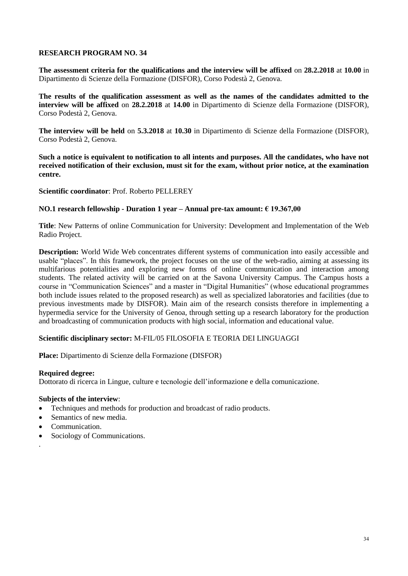**The assessment criteria for the qualifications and the interview will be affixed** on **28.2.2018** at **10.00** in Dipartimento di Scienze della Formazione (DISFOR), Corso Podestà 2, Genova.

**The results of the qualification assessment as well as the names of the candidates admitted to the interview will be affixed** on **28.2.2018** at **14.00** in Dipartimento di Scienze della Formazione (DISFOR), Corso Podestà 2, Genova.

**The interview will be held** on **5.3.2018** at **10.30** in Dipartimento di Scienze della Formazione (DISFOR), Corso Podestà 2, Genova.

**Such a notice is equivalent to notification to all intents and purposes. All the candidates, who have not received notification of their exclusion, must sit for the exam, without prior notice, at the examination centre.**

**Scientific coordinator**: Prof. Roberto PELLEREY

### **NO.1 research fellowship - Duration 1 year – Annual pre-tax amount: € 19.367,00**

**Title**: New Patterns of online Communication for University: Development and Implementation of the Web Radio Project.

**Description:** World Wide Web concentrates different systems of communication into easily accessible and usable "places". In this framework, the project focuses on the use of the web-radio, aiming at assessing its multifarious potentialities and exploring new forms of online communication and interaction among students. The related activity will be carried on at the Savona University Campus. The Campus hosts a course in "Communication Sciences" and a master in "Digital Humanities" (whose educational programmes both include issues related to the proposed research) as well as specialized laboratories and facilities (due to previous investments made by DISFOR). Main aim of the research consists therefore in implementing a hypermedia service for the University of Genoa, through setting up a research laboratory for the production and broadcasting of communication products with high social, information and educational value.

### **Scientific disciplinary sector:** M-FIL/05 FILOSOFIA E TEORIA DEI LINGUAGGI

**Place:** Dipartimento di Scienze della Formazione (DISFOR)

### **Required degree:**

Dottorato di ricerca in Lingue, culture e tecnologie dell'informazione e della comunicazione.

#### **Subjects of the interview**:

- Techniques and methods for production and broadcast of radio products.
- Semantics of new media.
- Communication.

.

• Sociology of Communications.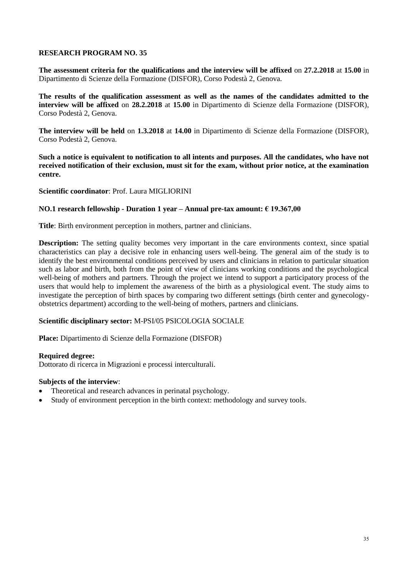**The assessment criteria for the qualifications and the interview will be affixed** on **27.2.2018** at **15.00** in Dipartimento di Scienze della Formazione (DISFOR), Corso Podestà 2, Genova.

**The results of the qualification assessment as well as the names of the candidates admitted to the interview will be affixed** on **28.2.2018** at **15.00** in Dipartimento di Scienze della Formazione (DISFOR), Corso Podestà 2, Genova.

**The interview will be held** on **1.3.2018** at **14.00** in Dipartimento di Scienze della Formazione (DISFOR), Corso Podestà 2, Genova.

**Such a notice is equivalent to notification to all intents and purposes. All the candidates, who have not received notification of their exclusion, must sit for the exam, without prior notice, at the examination centre.**

**Scientific coordinator**: Prof. Laura MIGLIORINI

### **NO.1 research fellowship - Duration 1 year – Annual pre-tax amount: € 19.367,00**

**Title**: Birth environment perception in mothers, partner and clinicians.

**Description:** The setting quality becomes very important in the care environments context, since spatial characteristics can play a decisive role in enhancing users well-being. The general aim of the study is to identify the best environmental conditions perceived by users and clinicians in relation to particular situation such as labor and birth, both from the point of view of clinicians working conditions and the psychological well-being of mothers and partners. Through the project we intend to support a participatory process of the users that would help to implement the awareness of the birth as a physiological event. The study aims to investigate the perception of birth spaces by comparing two different settings (birth center and gynecologyobstetrics department) according to the well-being of mothers, partners and clinicians.

### **Scientific disciplinary sector:** M-PSI/05 PSICOLOGIA SOCIALE

**Place:** Dipartimento di Scienze della Formazione (DISFOR)

### **Required degree:**

Dottorato di ricerca in Migrazioni e processi interculturali.

- Theoretical and research advances in perinatal psychology.
- Study of environment perception in the birth context: methodology and survey tools.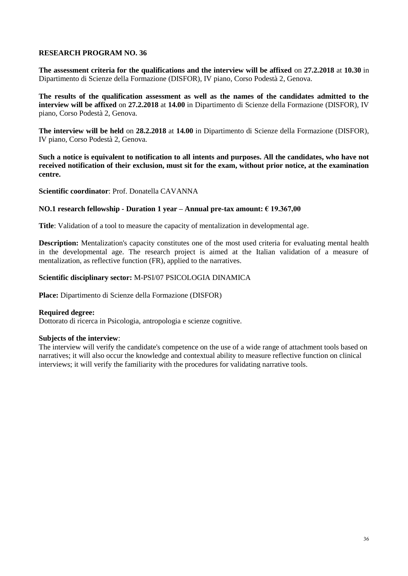**The assessment criteria for the qualifications and the interview will be affixed** on **27.2.2018** at **10.30** in Dipartimento di Scienze della Formazione (DISFOR), IV piano, Corso Podestà 2, Genova.

**The results of the qualification assessment as well as the names of the candidates admitted to the interview will be affixed** on **27.2.2018** at **14.00** in Dipartimento di Scienze della Formazione (DISFOR), IV piano, Corso Podestà 2, Genova.

**The interview will be held** on **28.2.2018** at **14.00** in Dipartimento di Scienze della Formazione (DISFOR), IV piano, Corso Podestà 2, Genova.

**Such a notice is equivalent to notification to all intents and purposes. All the candidates, who have not received notification of their exclusion, must sit for the exam, without prior notice, at the examination centre.**

**Scientific coordinator**: Prof. Donatella CAVANNA

### **NO.1 research fellowship - Duration 1 year – Annual pre-tax amount: € 19.367,00**

**Title**: Validation of a tool to measure the capacity of mentalization in developmental age.

**Description:** Mentalization's capacity constitutes one of the most used criteria for evaluating mental health in the developmental age. The research project is aimed at the Italian validation of a measure of mentalization, as reflective function (FR), applied to the narratives.

### **Scientific disciplinary sector:** M-PSI/07 PSICOLOGIA DINAMICA

**Place:** Dipartimento di Scienze della Formazione (DISFOR)

### **Required degree:**

Dottorato di ricerca in Psicologia, antropologia e scienze cognitive.

#### **Subjects of the interview**:

The interview will verify the candidate's competence on the use of a wide range of attachment tools based on narratives; it will also occur the knowledge and contextual ability to measure reflective function on clinical interviews; it will verify the familiarity with the procedures for validating narrative tools.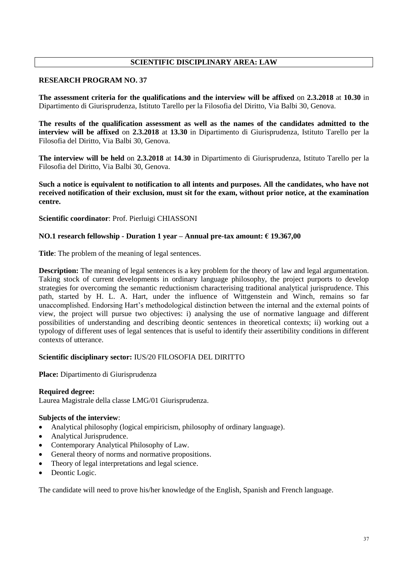# **SCIENTIFIC DISCIPLINARY AREA: LAW**

## **RESEARCH PROGRAM NO. 37**

**The assessment criteria for the qualifications and the interview will be affixed** on **2.3.2018** at **10.30** in Dipartimento di Giurisprudenza, Istituto Tarello per la Filosofia del Diritto, Via Balbi 30, Genova.

**The results of the qualification assessment as well as the names of the candidates admitted to the interview will be affixed** on **2.3.2018** at **13.30** in Dipartimento di Giurisprudenza, Istituto Tarello per la Filosofia del Diritto, Via Balbi 30, Genova.

**The interview will be held** on **2.3.2018** at **14.30** in Dipartimento di Giurisprudenza, Istituto Tarello per la Filosofia del Diritto, Via Balbi 30, Genova.

**Such a notice is equivalent to notification to all intents and purposes. All the candidates, who have not received notification of their exclusion, must sit for the exam, without prior notice, at the examination centre.**

**Scientific coordinator**: Prof. Pierluigi CHIASSONI

## **NO.1 research fellowship - Duration 1 year – Annual pre-tax amount: € 19.367,00**

**Title**: The problem of the meaning of legal sentences.

**Description:** The meaning of legal sentences is a key problem for the theory of law and legal argumentation. Taking stock of current developments in ordinary language philosophy, the project purports to develop strategies for overcoming the semantic reductionism characterising traditional analytical jurisprudence. This path, started by H. L. A. Hart, under the influence of Wittgenstein and Winch, remains so far unaccomplished. Endorsing Hart's methodological distinction between the internal and the external points of view, the project will pursue two objectives: i) analysing the use of normative language and different possibilities of understanding and describing deontic sentences in theoretical contexts; ii) working out a typology of different uses of legal sentences that is useful to identify their assertibility conditions in different contexts of utterance.

### **Scientific disciplinary sector:** IUS/20 FILOSOFIA DEL DIRITTO

**Place:** Dipartimento di Giurisprudenza

### **Required degree:**

Laurea Magistrale della classe LMG/01 Giurisprudenza.

### **Subjects of the interview**:

- Analytical philosophy (logical empiricism, philosophy of ordinary language).
- Analytical Jurisprudence.
- Contemporary Analytical Philosophy of Law.
- General theory of norms and normative propositions.
- Theory of legal interpretations and legal science.
- Deontic Logic.

The candidate will need to prove his/her knowledge of the English, Spanish and French language.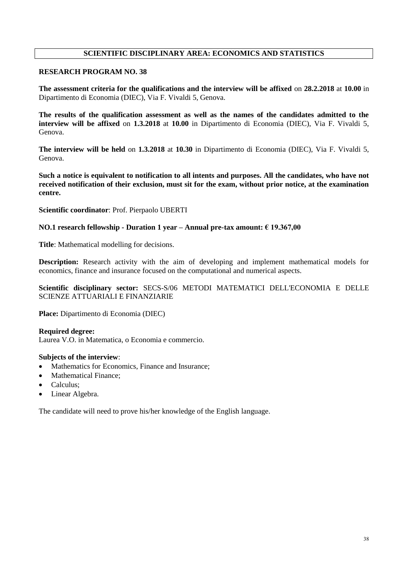# **SCIENTIFIC DISCIPLINARY AREA: ECONOMICS AND STATISTICS**

## **RESEARCH PROGRAM NO. 38**

**The assessment criteria for the qualifications and the interview will be affixed** on **28.2.2018** at **10.00** in Dipartimento di Economia (DIEC), Via F. Vivaldi 5, Genova.

**The results of the qualification assessment as well as the names of the candidates admitted to the interview will be affixed** on **1.3.2018** at **10.00** in Dipartimento di Economia (DIEC), Via F. Vivaldi 5, Genova.

**The interview will be held** on **1.3.2018** at **10.30** in Dipartimento di Economia (DIEC), Via F. Vivaldi 5, Genova.

**Such a notice is equivalent to notification to all intents and purposes. All the candidates, who have not received notification of their exclusion, must sit for the exam, without prior notice, at the examination centre.**

**Scientific coordinator**: Prof. Pierpaolo UBERTI

### **NO.1 research fellowship - Duration 1 year – Annual pre-tax amount: € 19.367,00**

**Title**: Mathematical modelling for decisions.

**Description:** Research activity with the aim of developing and implement mathematical models for economics, finance and insurance focused on the computational and numerical aspects.

## **Scientific disciplinary sector:** SECS-S/06 METODI MATEMATICI DELL'ECONOMIA E DELLE SCIENZE ATTUARIALI E FINANZIARIE

**Place:** Dipartimento di Economia (DIEC)

### **Required degree:**

Laurea V.O. in Matematica, o Economia e commercio.

#### **Subjects of the interview**:

- Mathematics for Economics, Finance and Insurance;
- Mathematical Finance;
- Calculus;
- Linear Algebra.